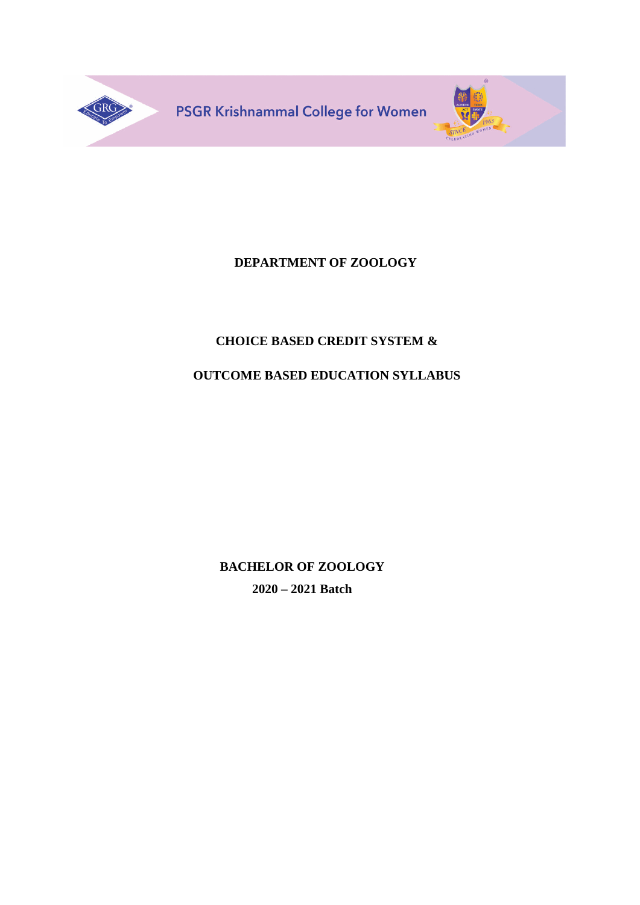

# **DEPARTMENT OF ZOOLOGY**

# **CHOICE BASED CREDIT SYSTEM &**

# **OUTCOME BASED EDUCATION SYLLABUS**

**BACHELOR OF ZOOLOGY 2020 – 2021 Batch**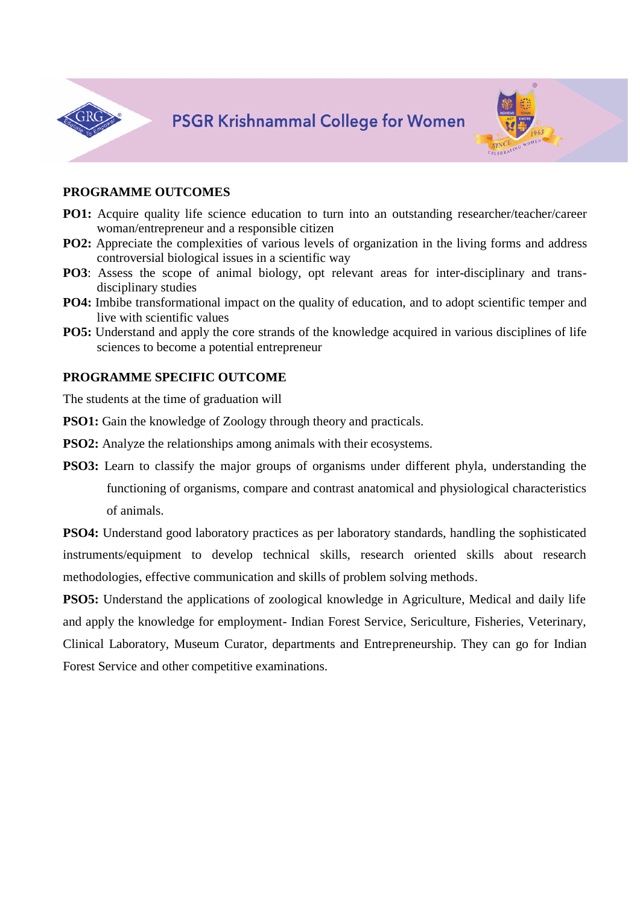



### **PROGRAMME OUTCOMES**

- **PO1:** Acquire quality life science education to turn into an outstanding researcher/teacher/career woman/entrepreneur and a responsible citizen
- **PO2:** Appreciate the complexities of various levels of organization in the living forms and address controversial biological issues in a scientific way
- **PO3**: Assess the scope of animal biology, opt relevant areas for inter-disciplinary and transdisciplinary studies
- **PO4:** Imbibe transformational impact on the quality of education, and to adopt scientific temper and live with scientific values
- **PO5:** Understand and apply the core strands of the knowledge acquired in various disciplines of life sciences to become a potential entrepreneur

### **PROGRAMME SPECIFIC OUTCOME**

The students at the time of graduation will

**PSO1:** Gain the knowledge of Zoology through theory and practicals.

**PSO2:** Analyze the relationships among animals with their ecosystems.

**PSO3:** Learn to classify the major groups of organisms under different phyla, understanding the functioning of organisms, compare and contrast anatomical and physiological characteristics of animals.

**PSO4:** Understand good laboratory practices as per laboratory standards, handling the sophisticated instruments/equipment to develop technical skills, research oriented skills about research methodologies, effective communication and skills of problem solving methods.

**PSO5:** Understand the applications of zoological knowledge in Agriculture, Medical and daily life and apply the knowledge for employment- Indian Forest Service, Sericulture, Fisheries, Veterinary, Clinical Laboratory, Museum Curator, departments and Entrepreneurship. They can go for Indian Forest Service and other competitive examinations.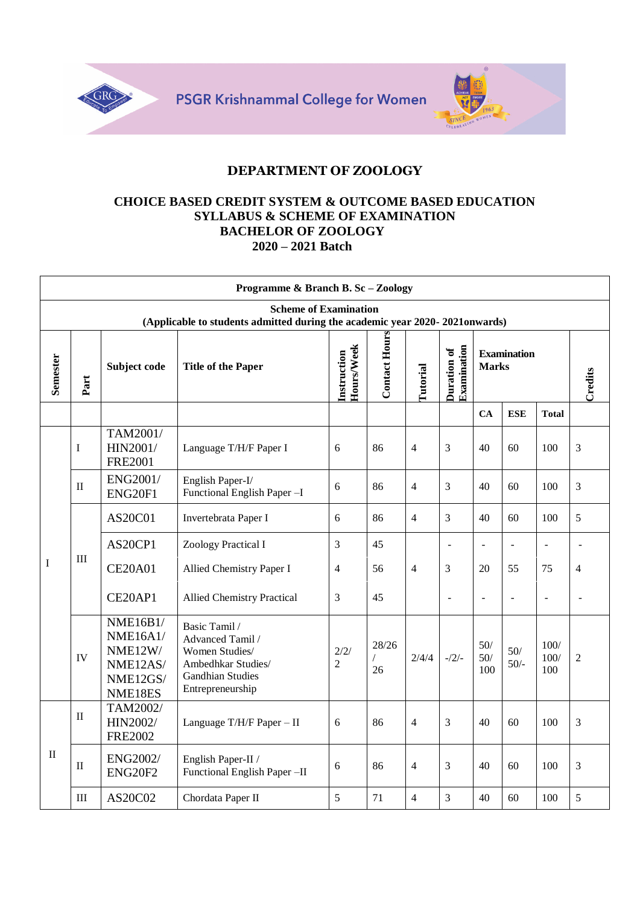



### **CHOICE BASED CREDIT SYSTEM & OUTCOME BASED EDUCATION SYLLABUS & SCHEME OF EXAMINATION BACHELOR OF ZOOLOGY 2020 – 2021 Batch**

|             | Programme & Branch B. Sc - Zoology |                                                                                  |                                                                                                                          |                                  |                      |                 |                            |                   |                    |                     |                |  |
|-------------|------------------------------------|----------------------------------------------------------------------------------|--------------------------------------------------------------------------------------------------------------------------|----------------------------------|----------------------|-----------------|----------------------------|-------------------|--------------------|---------------------|----------------|--|
|             |                                    |                                                                                  | <b>Scheme of Examination</b><br>(Applicable to students admitted during the academic year 2020-2021onwards)              |                                  |                      |                 |                            |                   |                    |                     |                |  |
| Semester    | Part                               | Subject code                                                                     | <b>Title of the Paper</b>                                                                                                | <b>Hours/Week</b><br>Instruction | <b>Contact Hours</b> | <b>Tutorial</b> | Examination<br>Duration of | <b>Marks</b>      | <b>Examination</b> |                     | Credits        |  |
|             |                                    |                                                                                  |                                                                                                                          |                                  |                      |                 |                            | CA                | <b>ESE</b>         | <b>Total</b>        |                |  |
|             | I                                  | TAM2001/<br>HIN2001/<br><b>FRE2001</b>                                           | Language T/H/F Paper I                                                                                                   | 6                                | 86                   | $\overline{4}$  | 3                          | 40                | 60                 | 100                 | 3              |  |
|             | $_{\rm II}$                        | ENG2001/<br>ENG20F1                                                              | English Paper-I/<br>Functional English Paper -I                                                                          | 6                                | 86                   | $\overline{4}$  | 3                          | 40                | 60                 | 100                 | 3              |  |
|             | Ш                                  | AS20C01                                                                          | Invertebrata Paper I                                                                                                     | 6                                | 86                   | $\overline{4}$  | 3                          | 40                | 60                 | 100                 | 5              |  |
|             |                                    | AS20CP1                                                                          | Zoology Practical I                                                                                                      | 3                                | 45                   |                 | $\overline{\phantom{a}}$   | $\overline{a}$    | $\overline{a}$     | $\blacksquare$      | L,             |  |
| $\mathbf I$ |                                    | <b>CE20A01</b>                                                                   | Allied Chemistry Paper I                                                                                                 | $\overline{4}$                   | 56                   | $\overline{4}$  | 3                          | 20                | 55                 | 75                  | $\overline{4}$ |  |
|             |                                    | CE20AP1                                                                          | <b>Allied Chemistry Practical</b>                                                                                        | 3                                | 45                   |                 | L.                         | $\blacksquare$    | L,                 | $\overline{a}$      | $\overline{a}$ |  |
|             | IV                                 | <b>NME16B1/</b><br><b>NME16A1/</b><br>NME12W/<br>NME12AS/<br>NME12GS/<br>NME18ES | Basic Tamil /<br>Advanced Tamil /<br>Women Studies/<br>Ambedhkar Studies/<br><b>Gandhian Studies</b><br>Entrepreneurship | 2/2/<br>$\mathfrak{D}$           | 28/26<br>26          | 2/4/4           | $-1/2/$                    | 50/<br>50/<br>100 | $50/$<br>$50/-$    | 100/<br>100/<br>100 | $\overline{2}$ |  |
|             | $_{\rm II}$                        | TAM2002/<br>HIN2002/<br><b>FRE2002</b>                                           | Language T/H/F Paper - II                                                                                                | 6                                | 86                   | $\overline{4}$  | 3                          | 40                | 60                 | 100                 | 3              |  |
| $\rm II$    | $_{\rm II}$                        | <b>ENG2002/</b><br><b>ENG20F2</b>                                                | English Paper-II /<br>Functional English Paper -II                                                                       | 6                                | 86                   | $\overline{4}$  | 3                          | 40                | 60                 | 100                 | 3              |  |
|             | Ш                                  | AS20C02                                                                          | Chordata Paper II                                                                                                        | 5                                | 71                   | $\overline{4}$  | 3                          | 40                | 60                 | 100                 | 5              |  |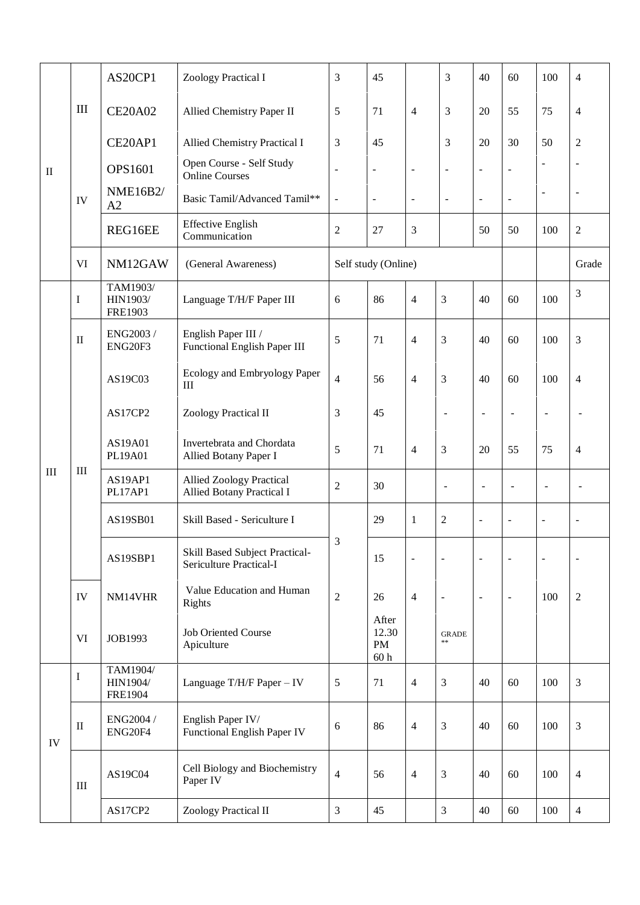|                                                                                                                                                                                                                                                                                                                                                                                                                                                                                                                                                                                                                                                                                                                                                                              |                              | AS20CP1 | Zoology Practical I                                              | 3              | 45                                             |                          | $\mathfrak{Z}$           | 40                       | 60                       | 100                          | $\overline{4}$ |
|------------------------------------------------------------------------------------------------------------------------------------------------------------------------------------------------------------------------------------------------------------------------------------------------------------------------------------------------------------------------------------------------------------------------------------------------------------------------------------------------------------------------------------------------------------------------------------------------------------------------------------------------------------------------------------------------------------------------------------------------------------------------------|------------------------------|---------|------------------------------------------------------------------|----------------|------------------------------------------------|--------------------------|--------------------------|--------------------------|--------------------------|------------------------------|----------------|
| $\mathop{\rm III}$<br><b>CE20A02</b><br>CE20AP1<br><b>OPS1601</b><br>$\rm II$<br><b>Online Courses</b><br><b>NME16B2/</b><br>IV<br>A2<br><b>Effective English</b><br>REG16EE<br>Communication<br><b>VI</b><br>NM12GAW<br>TAM1903/<br>HIN1903/<br>I<br><b>FRE1903</b><br>ENG2003 /<br>English Paper III /<br>$\mathbf{I}$<br><b>ENG20F3</b><br>AS19C03<br>III<br>AS17CP2<br>Zoology Practical II<br>AS19A01<br>PL19A01<br>III<br>III<br>AS19AP1<br>PL17AP1<br>AS19SB01<br>AS19SBP1<br>IV<br>NM14VHR<br><b>Rights</b><br><b>Job Oriented Course</b><br><b>VI</b><br>JOB1993<br>Apiculture<br>TAM1904/<br>I<br>HIN1904/<br><b>FRE1904</b><br>English Paper IV/<br>ENG2004 /<br>$\rm II$<br>ENG20F4<br>IV<br>AS19C04<br>Paper IV<br>$\rm III$<br>Zoology Practical II<br>AS17CP2 |                              |         | Allied Chemistry Paper II                                        | 5              | 71                                             | $\overline{4}$           | 3                        | 20                       | 55                       | 75                           | $\overline{4}$ |
|                                                                                                                                                                                                                                                                                                                                                                                                                                                                                                                                                                                                                                                                                                                                                                              | Allied Chemistry Practical I | 3       | 45                                                               |                | 3                                              | 20                       | 30                       | 50                       | $\overline{2}$           |                              |                |
|                                                                                                                                                                                                                                                                                                                                                                                                                                                                                                                                                                                                                                                                                                                                                                              |                              |         | Open Course - Self Study                                         | $\overline{a}$ | $\blacksquare$                                 | $\blacksquare$           | $\blacksquare$           | $\overline{\phantom{a}}$ |                          | $\blacksquare$               | L,             |
|                                                                                                                                                                                                                                                                                                                                                                                                                                                                                                                                                                                                                                                                                                                                                                              |                              |         | Basic Tamil/Advanced Tamil**                                     | $\blacksquare$ | $\overline{\phantom{a}}$                       | $\overline{\phantom{a}}$ | $\blacksquare$           | $\overline{\phantom{a}}$ | $\overline{\phantom{a}}$ | $\blacksquare$               | $\blacksquare$ |
|                                                                                                                                                                                                                                                                                                                                                                                                                                                                                                                                                                                                                                                                                                                                                                              |                              |         |                                                                  | $\overline{c}$ | 27                                             | 3                        |                          | 50                       | 50                       | 100                          | $\overline{2}$ |
|                                                                                                                                                                                                                                                                                                                                                                                                                                                                                                                                                                                                                                                                                                                                                                              |                              |         | (General Awareness)                                              |                | Self study (Online)                            |                          |                          |                          |                          |                              | Grade          |
|                                                                                                                                                                                                                                                                                                                                                                                                                                                                                                                                                                                                                                                                                                                                                                              |                              |         | Language T/H/F Paper III                                         | 6              | 86                                             | $\overline{4}$           | $\overline{3}$           | 40                       | 60                       | 100                          | 3              |
|                                                                                                                                                                                                                                                                                                                                                                                                                                                                                                                                                                                                                                                                                                                                                                              |                              |         | Functional English Paper III                                     | 5              | 71                                             | $\overline{4}$           | $\overline{3}$           | 40                       | 60                       | 100                          | 3              |
|                                                                                                                                                                                                                                                                                                                                                                                                                                                                                                                                                                                                                                                                                                                                                                              |                              |         | Ecology and Embryology Paper                                     | $\overline{4}$ | 56                                             | 4                        | 3                        | 40                       | 60                       | 100                          | $\overline{4}$ |
|                                                                                                                                                                                                                                                                                                                                                                                                                                                                                                                                                                                                                                                                                                                                                                              |                              |         |                                                                  | 3              | 45                                             |                          | $\overline{\phantom{a}}$ | $\overline{\phantom{a}}$ | $\overline{a}$           | $\overline{\phantom{a}}$     |                |
|                                                                                                                                                                                                                                                                                                                                                                                                                                                                                                                                                                                                                                                                                                                                                                              |                              |         | Invertebrata and Chordata<br>Allied Botany Paper I               | 5              | 71                                             | $\overline{4}$           | $\overline{3}$           | 20                       | 55                       | 75                           | $\overline{4}$ |
|                                                                                                                                                                                                                                                                                                                                                                                                                                                                                                                                                                                                                                                                                                                                                                              |                              |         | <b>Allied Zoology Practical</b><br>Allied Botany Practical I     | $\overline{c}$ | 30                                             |                          | $\overline{a}$           | $\overline{\phantom{a}}$ | $\overline{a}$           | $\overline{\phantom{a}}$     |                |
|                                                                                                                                                                                                                                                                                                                                                                                                                                                                                                                                                                                                                                                                                                                                                                              |                              |         | Skill Based - Sericulture I                                      |                | 29                                             | 1                        | $\overline{2}$           | $\overline{\phantom{a}}$ | $\overline{\phantom{a}}$ | $\qquad \qquad \blacksquare$ | ÷,             |
|                                                                                                                                                                                                                                                                                                                                                                                                                                                                                                                                                                                                                                                                                                                                                                              |                              |         | Skill Based Subject Practical-<br><b>Sericulture Practical-I</b> | 3              | 15                                             | $\blacksquare$           | $\blacksquare$           | $\overline{\phantom{a}}$ | $\overline{\phantom{a}}$ | $\frac{1}{2}$                | $\overline{a}$ |
|                                                                                                                                                                                                                                                                                                                                                                                                                                                                                                                                                                                                                                                                                                                                                                              |                              |         | Value Education and Human                                        | $\overline{2}$ | 26                                             | $\overline{4}$           | $\blacksquare$           | $\blacksquare$           | $\blacksquare$           | 100                          | $\sqrt{2}$     |
|                                                                                                                                                                                                                                                                                                                                                                                                                                                                                                                                                                                                                                                                                                                                                                              |                              |         |                                                                  |                | After<br>12.30<br><b>PM</b><br>60 <sub>h</sub> |                          | <b>GRADE</b><br>$\pm\pm$ |                          |                          |                              |                |
|                                                                                                                                                                                                                                                                                                                                                                                                                                                                                                                                                                                                                                                                                                                                                                              |                              |         | Language T/H/F Paper - IV                                        | 5              | 71                                             | $\overline{4}$           | $\mathfrak{Z}$           | 40                       | 60                       | 100                          | $\mathfrak{Z}$ |
|                                                                                                                                                                                                                                                                                                                                                                                                                                                                                                                                                                                                                                                                                                                                                                              |                              |         | Functional English Paper IV                                      | 6              | 86                                             | $\overline{4}$           | $\overline{3}$           | 40                       | 60                       | 100                          | $\mathfrak{Z}$ |
|                                                                                                                                                                                                                                                                                                                                                                                                                                                                                                                                                                                                                                                                                                                                                                              |                              |         | Cell Biology and Biochemistry                                    | $\overline{4}$ | 56                                             | $\overline{4}$           | $\mathfrak{Z}$           | 40                       | 60                       | 100                          | $\overline{4}$ |
|                                                                                                                                                                                                                                                                                                                                                                                                                                                                                                                                                                                                                                                                                                                                                                              |                              |         |                                                                  | 3              | 45                                             |                          | $\overline{3}$           | 40                       | 60                       | 100                          | $\overline{4}$ |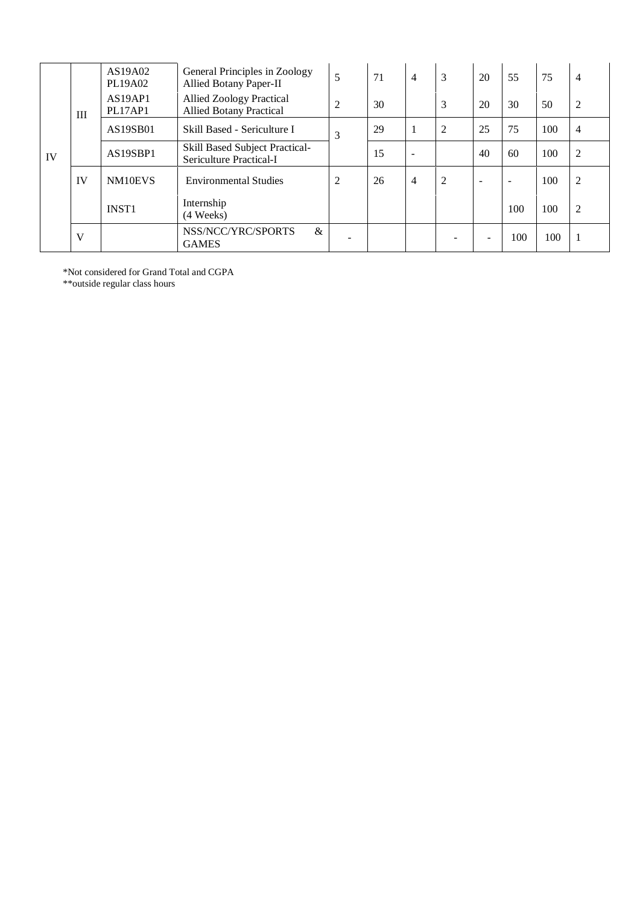|    |     | AS19A02<br>PL19A02 | General Principles in Zoology<br>Allied Botany Paper-II           | 5 | 71 | $\overline{4}$           | 3 | 20     | 55                       | 75  | $\overline{4}$ |
|----|-----|--------------------|-------------------------------------------------------------------|---|----|--------------------------|---|--------|--------------------------|-----|----------------|
|    | III | AS19AP1<br>PL17AP1 | <b>Allied Zoology Practical</b><br><b>Allied Botany Practical</b> | 2 | 30 |                          | 3 | 20     | 30                       | 50  | $\overline{2}$ |
| IV |     | AS19SB01           | Skill Based - Sericulture I                                       | 3 | 29 |                          | 2 | 25     | 75                       | 100 | $\overline{4}$ |
|    |     | AS19SBP1           | <b>Skill Based Subject Practical-</b><br>Sericulture Practical-I  |   | 15 | $\overline{\phantom{a}}$ |   | 40     | 60                       | 100 | 2              |
|    | IV  | NM10EVS            | <b>Environmental Studies</b>                                      | 2 | 26 | $\overline{4}$           | 2 | $\sim$ | $\overline{\phantom{a}}$ | 100 | $\overline{2}$ |
|    |     | <b>INST1</b>       | Internship<br>(4 Weeks)                                           |   |    |                          |   |        | 100                      | 100 | $\overline{2}$ |
|    | V   |                    | NSS/NCC/YRC/SPORTS<br>$\&$<br><b>GAMES</b>                        |   |    |                          |   |        | 100                      | 100 | 1              |

\*Not considered for Grand Total and CGPA

\*\*outside regular class hours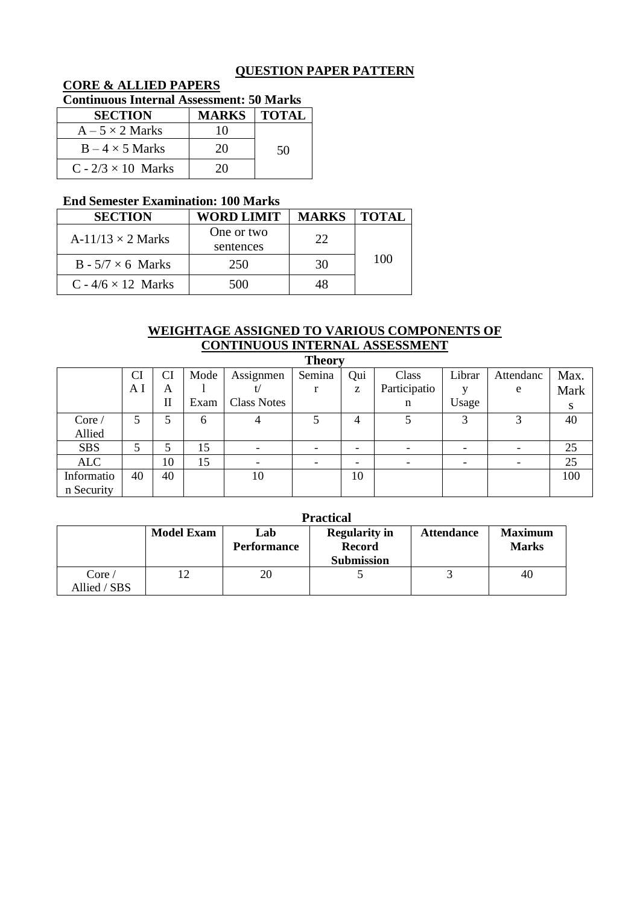# **QUESTION PAPER PATTERN**

# **CORE & ALLIED PAPERS**

# **Continuous Internal Assessment: 50 Marks**

| <b>SECTION</b>            | <b>MARKS   TOTAL</b> |    |
|---------------------------|----------------------|----|
| $A - 5 \times 2$ Marks    | 10                   |    |
| $B - 4 \times 5$ Marks    | 20                   | 50 |
| $C - 2/3 \times 10$ Marks | 20-                  |    |

### **End Semester Examination: 100 Marks**

| <b>SECTION</b>            | <b>WORD LIMIT</b>       | <b>MARKS</b> | <b>TOTAL</b> |
|---------------------------|-------------------------|--------------|--------------|
| A-11/13 $\times$ 2 Marks  | One or two<br>sentences | 22           |              |
| $B - 5/7 \times 6$ Marks  | 250                     | 30           | 100          |
| C - $4/6 \times 12$ Marks | 500                     |              |              |

### **WEIGHTAGE ASSIGNED TO VARIOUS COMPONENTS OF CONTINUOUS INTERNAL ASSESSMENT**

|            | <b>Theory</b> |    |      |                    |        |     |              |        |           |      |  |
|------------|---------------|----|------|--------------------|--------|-----|--------------|--------|-----------|------|--|
|            | CI            | CI | Mode | Assignmen          | Semina | Qui | Class        | Librar | Attendanc | Max. |  |
|            | ΑI            | A  |      |                    |        | z   | Participatio |        | e         | Mark |  |
|            |               | П  | Exam | <b>Class Notes</b> |        |     | n            | Usage  |           | S    |  |
| Core /     | 5             | 5  | 6    |                    |        | 4   |              | 3      | 3         | 40   |  |
| Allied     |               |    |      |                    |        |     |              |        |           |      |  |
| <b>SBS</b> | 5             |    | 15   |                    |        |     |              |        |           | 25   |  |
| <b>ALC</b> |               | 10 | 15   |                    |        |     |              |        |           | 25   |  |
| Informatio | 40            | 40 |      | 10                 |        | 10  |              |        |           | 100  |  |
| n Security |               |    |      |                    |        |     |              |        |           |      |  |

|              | <b>Practical</b>  |             |                      |                   |                |  |  |  |  |  |
|--------------|-------------------|-------------|----------------------|-------------------|----------------|--|--|--|--|--|
|              | <b>Model Exam</b> | Lab         | <b>Regularity in</b> | <b>Attendance</b> | <b>Maximum</b> |  |  |  |  |  |
|              |                   | Performance | <b>Record</b>        |                   | <b>Marks</b>   |  |  |  |  |  |
|              |                   |             | <b>Submission</b>    |                   |                |  |  |  |  |  |
| Core/        |                   | 20          |                      |                   | 40             |  |  |  |  |  |
| Allied / SBS |                   |             |                      |                   |                |  |  |  |  |  |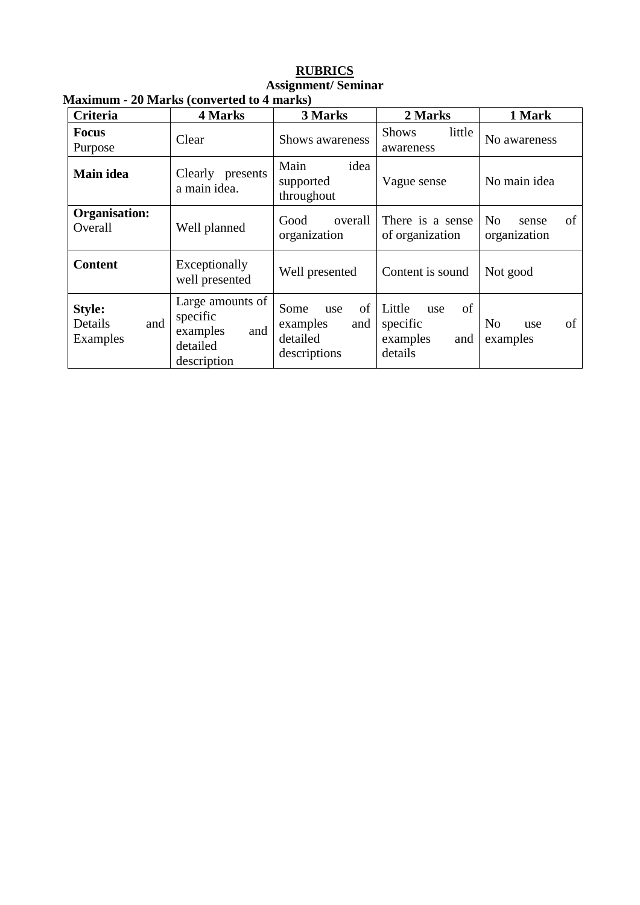#### **RUBRICS Assignment/ Seminar Maximum - 20 Marks (converted to 4 marks)**

| <b>Criteria</b>                      | 4 Marks                                                                    | 3 Marks                                                          | 2 Marks                                                       | 1 Mark                                        |  |  |
|--------------------------------------|----------------------------------------------------------------------------|------------------------------------------------------------------|---------------------------------------------------------------|-----------------------------------------------|--|--|
| <b>Focus</b><br>Purpose              | Clear                                                                      | Shows awareness                                                  | little<br><b>Shows</b><br>awareness                           | No awareness                                  |  |  |
| Main idea                            | Clearly presents<br>a main idea.                                           | idea<br>Main<br>supported<br>throughout                          | Vague sense                                                   | No main idea                                  |  |  |
| Organisation:<br>Overall             | Well planned                                                               | overall<br>Good<br>organization                                  | There is a sense<br>of organization                           | N <sub>o</sub><br>of<br>sense<br>organization |  |  |
| <b>Content</b>                       | Exceptionally<br>well presented                                            | Well presented                                                   | Content is sound                                              | Not good                                      |  |  |
| Style:<br>and<br>Details<br>Examples | Large amounts of<br>specific<br>and<br>examples<br>detailed<br>description | of<br>Some<br>use<br>examples<br>and<br>detailed<br>descriptions | Little<br>of<br>use<br>specific<br>examples<br>and<br>details | of<br>N <sub>0</sub><br>use<br>examples       |  |  |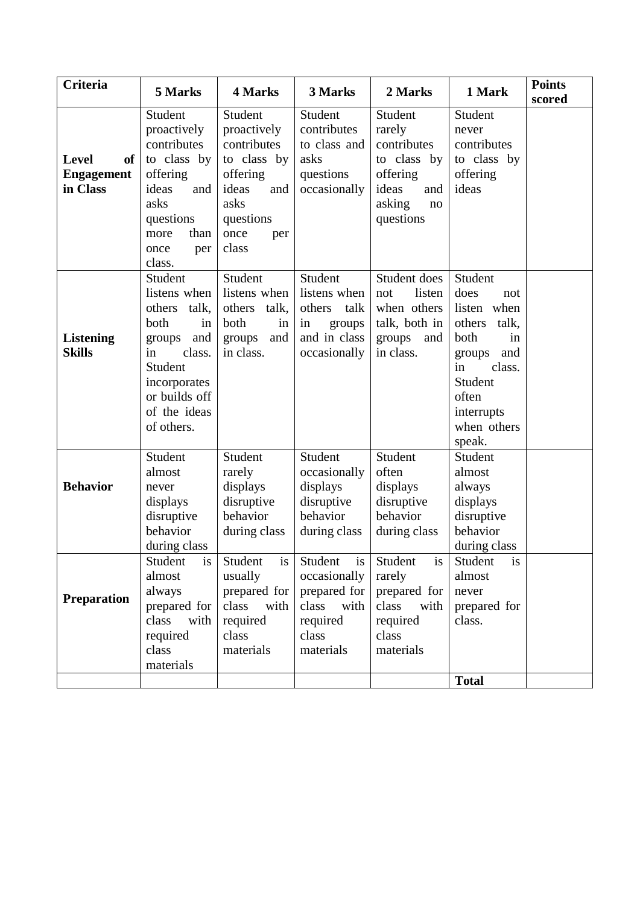| <b>Criteria</b>                                     | 5 Marks                                                                                                                                                             | 4 Marks                                                                                                                       | 3 Marks                                                                                                 | 2 Marks                                                                                                  | 1 Mark                                                                                                                                                             | <b>Points</b><br>scored |
|-----------------------------------------------------|---------------------------------------------------------------------------------------------------------------------------------------------------------------------|-------------------------------------------------------------------------------------------------------------------------------|---------------------------------------------------------------------------------------------------------|----------------------------------------------------------------------------------------------------------|--------------------------------------------------------------------------------------------------------------------------------------------------------------------|-------------------------|
| <b>Level</b><br>of<br><b>Engagement</b><br>in Class | Student<br>proactively<br>contributes<br>to class by<br>offering<br>ideas<br>and<br>asks<br>questions<br>than<br>more<br>once<br>per<br>class.                      | Student<br>proactively<br>contributes<br>to class by<br>offering<br>ideas<br>and<br>asks<br>questions<br>once<br>per<br>class | Student<br>contributes<br>to class and<br>asks<br>questions<br>occasionally                             | Student<br>rarely<br>contributes<br>to class by<br>offering<br>ideas<br>and<br>asking<br>no<br>questions | Student<br>never<br>contributes<br>to class by<br>offering<br>ideas                                                                                                |                         |
| <b>Listening</b><br><b>Skills</b>                   | Student<br>listens when<br>talk,<br>others<br>both<br>in<br>and<br>groups<br>in<br>class.<br>Student<br>incorporates<br>or builds off<br>of the ideas<br>of others. | Student<br>listens when<br>talk,<br>others<br>both<br>in<br>and<br>groups<br>in class.                                        | Student<br>listens when<br>others<br>talk<br>groups<br>in<br>and in class<br>occasionally               | Student does<br>listen<br>not<br>when others<br>talk, both in<br>groups and<br>in class.                 | Student<br>does<br>not<br>listen when<br>others<br>talk,<br>both<br>in<br>and<br>groups<br>class.<br>in<br>Student<br>often<br>interrupts<br>when others<br>speak. |                         |
| <b>Behavior</b>                                     | Student<br>almost<br>never<br>displays<br>disruptive<br>behavior<br>during class                                                                                    | Student<br>rarely<br>displays<br>disruptive<br>behavior<br>during class                                                       | Student<br>occasionally<br>displays<br>disruptive<br>behavior<br>during class                           | Student<br>often<br>displays<br>disruptive<br>behavior<br>during class                                   | Student<br>almost<br>always<br>displays<br>disruptive<br>behavior<br>during class                                                                                  |                         |
| <b>Preparation</b>                                  | Student<br><b>1S</b><br>almost<br>always<br>prepared for<br>class<br>with<br>required<br>class<br>materials                                                         | Student<br><b>1S</b><br>usually<br>prepared for<br>class<br>with<br>required<br>class<br>materials                            | Student<br><b>1S</b><br>occasionally<br>prepared for<br>class<br>with<br>required<br>class<br>materials | Student<br><b>1S</b><br>rarely<br>prepared for<br>class<br>with<br>required<br>class<br>materials        | Student<br><b>1S</b><br>almost<br>never<br>prepared for<br>class.<br><b>Total</b>                                                                                  |                         |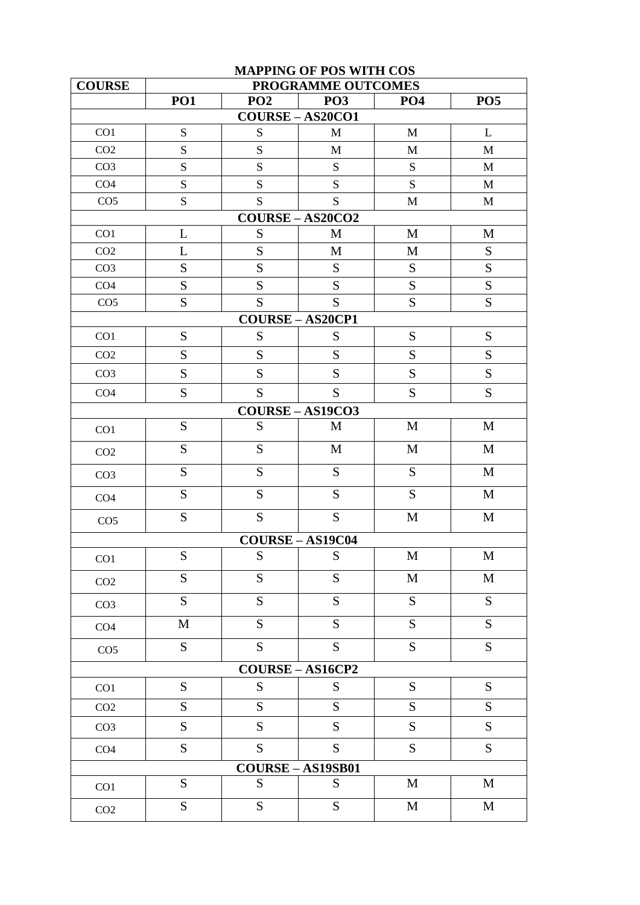|                 |             |                 | <b>MAPPING OF POS WITH COS</b> |                 |              |
|-----------------|-------------|-----------------|--------------------------------|-----------------|--------------|
| <b>COURSE</b>   |             |                 | PROGRAMME OUTCOMES             |                 |              |
|                 | <b>PO1</b>  | PO <sub>2</sub> | PO <sub>3</sub>                | PO <sub>4</sub> | <b>PO5</b>   |
| CO1             | ${\bf S}$   | S               | <b>COURSE-AS20CO1</b><br>M     | M               | L            |
| CO <sub>2</sub> | S           | S               | M                              | M               | $\mathbf{M}$ |
| CO <sub>3</sub> | ${\bf S}$   | S               | S                              | S               | M            |
| CO <sub>4</sub> | S           | S               | S                              | S               | M            |
| CO <sub>5</sub> | S           | S               | S.                             | M               | M            |
|                 |             |                 | $COURSE - AS20CO2$             |                 |              |
| CO1             | L           | S               | M                              | M               | M            |
| CO <sub>2</sub> | L           | S               | M                              | M               | S            |
| CO <sub>3</sub> | ${\bf S}$   | S               | S                              | ${\bf S}$       | S            |
| CO <sub>4</sub> | S           | S               | S                              | S               | S            |
| CO <sub>5</sub> | ${\bf S}$   | S               | S                              | ${\bf S}$       | S            |
|                 |             |                 | <b>COURSE-AS20CP1</b>          |                 |              |
| CO <sub>1</sub> | S           | S               | S                              | S               | S            |
| CO <sub>2</sub> | ${\bf S}$   | S               | S                              | ${\bf S}$       | S            |
| CO <sub>3</sub> | S           | S               | S                              | S               | S            |
| CO <sub>4</sub> | S           | S               | S                              | S               | S            |
|                 |             |                 | $COURSE - AS19CO3$             |                 |              |
| CO1             | S           | S               | M                              | M               | M            |
| CO <sub>2</sub> | S           | S               | $\mathbf M$                    | $\mathbf{M}$    | $\mathbf{M}$ |
| CO <sub>3</sub> | ${\bf S}$   | S               | S                              | S               | M            |
| CO <sub>4</sub> | S           | S               | S                              | S               | M            |
| CO <sub>5</sub> | ${\bf S}$   | S               | S                              | M               | $\mathbf{M}$ |
|                 |             |                 | <b>COURSE-AS19C04</b>          |                 |              |
| CO1             | ${\bf S}$   | ${\bf S}$       | ${\bf S}$                      | $\mathbf M$     | M            |
| CO <sub>2</sub> | S           | S               | S                              | $\mathbf M$     | $\mathbf M$  |
| CO <sub>3</sub> | S           | S               | S                              | S               | S            |
| CO <sub>4</sub> | $\mathbf M$ | S               | S                              | S               | S            |
| CO <sub>5</sub> | S           | S               | S                              | ${\bf S}$       | S            |
|                 |             |                 | COURSE-AS16CP2                 |                 |              |
| CO <sub>1</sub> | ${\bf S}$   | S               | ${\bf S}$                      | ${\bf S}$       | S            |
| CO <sub>2</sub> | S           | $\overline{S}$  | S                              | S               | S            |
| CO <sub>3</sub> | S           | S               | ${\bf S}$                      | S               | S            |
| CO <sub>4</sub> | S           | S               | S                              | ${\bf S}$       | S            |
|                 |             |                 | COURSE-AS19SB01                |                 |              |
| CO <sub>1</sub> | S           | S               | S                              | M               | M            |
| CO <sub>2</sub> | S           | S               | S                              | $\mathbf M$     | $\mathbf M$  |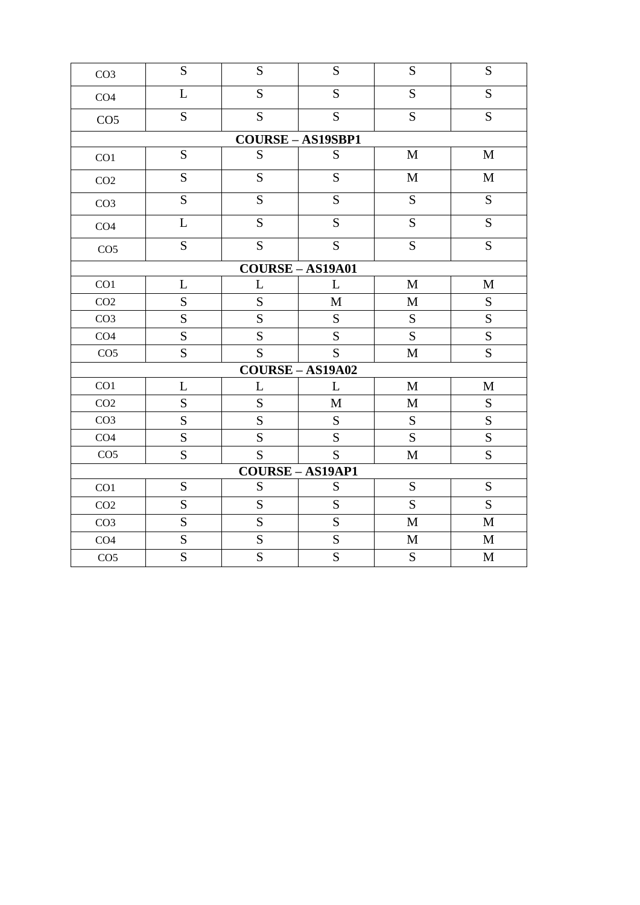| CO <sub>3</sub> | S              | S              | S                      | S              | S              |
|-----------------|----------------|----------------|------------------------|----------------|----------------|
| CO <sub>4</sub> | L              | S              | S                      | $\overline{S}$ | S              |
| CO <sub>5</sub> | $\overline{S}$ | $\overline{S}$ | S                      | $\overline{S}$ | S              |
|                 |                |                | <b>COURSE-AS19SBP1</b> |                |                |
| CO1             | S              | ${\bf S}$      | ${\bf S}$              | $\mathbf M$    | $\mathbf M$    |
| CO <sub>2</sub> | $\overline{S}$ | $\overline{S}$ | S                      | $\mathbf M$    | $\mathbf M$    |
| CO <sub>3</sub> | $\overline{S}$ | $\overline{S}$ | $\overline{S}$         | $\overline{S}$ | S              |
| CO <sub>4</sub> | $\overline{L}$ | $\overline{S}$ | S                      | $\overline{S}$ | S              |
| CO <sub>5</sub> | ${\bf S}$      | S              | S                      | ${\bf S}$      | ${\bf S}$      |
|                 |                |                | $COURSE - AS19A01$     |                |                |
| CO1             | L              | L              | L                      | $\mathbf M$    | $\mathbf M$    |
| CO <sub>2</sub> | ${\bf S}$      | S              | $\mathbf M$            | $\mathbf M$    | ${\bf S}$      |
| CO <sub>3</sub> | S              | S              | ${\bf S}$              | ${\bf S}$      | S              |
| CO <sub>4</sub> | S              | S              | S                      | $\overline{S}$ | $\overline{S}$ |
| CO <sub>5</sub> | ${\bf S}$      | S              | S                      | $\mathbf M$    | S              |
|                 |                |                | $COURSE - AS19A02$     |                |                |
| CO1             | L              | L              | L                      | $\mathbf M$    | $\mathbf M$    |
| CO <sub>2</sub> | S              | S              | $\mathbf M$            | $\mathbf{M}$   | S              |
| CO <sub>3</sub> | S              | S              | ${\bf S}$              | ${\bf S}$      | S              |
| CO <sub>4</sub> | S              | S              | S                      | S              | S              |
| CO <sub>5</sub> | S              | S              | S                      | $\mathbf M$    | S              |
|                 |                |                | <b>COURSE-AS19AP1</b>  |                |                |
| CO1             | S              | S              | S                      | S              | S              |
| CO <sub>2</sub> | S              | S              | ${\bf S}$              | $\overline{S}$ | S              |
| CO <sub>3</sub> | $\overline{S}$ | S              | $\overline{S}$         | $\mathbf M$    | $\mathbf M$    |
| CO <sub>4</sub> | $\overline{S}$ | $\overline{S}$ | $\overline{S}$         | $\mathbf M$    | $\mathbf M$    |
| CO <sub>5</sub> | ${\bf S}$      | $\overline{S}$ | $\overline{S}$         | ${\bf S}$      | $\mathbf M$    |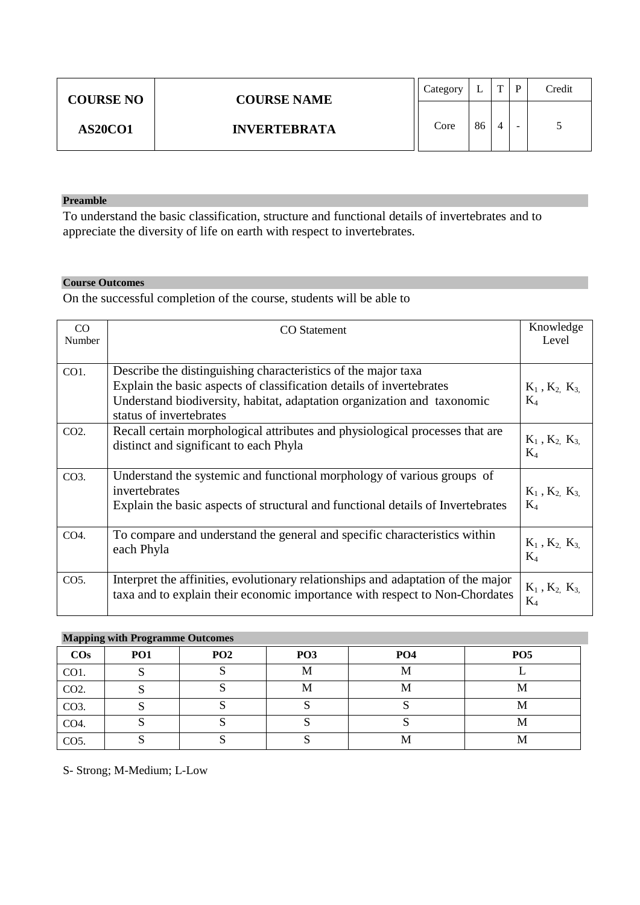|                | <b>COURSE NO</b><br><b>COURSE NAME</b> | Category |    | m | D | Credit |
|----------------|----------------------------------------|----------|----|---|---|--------|
| <b>AS20CO1</b> | <b>INVERTEBRATA</b>                    | Core     | 86 |   | - |        |

To understand the basic classification, structure and functional details of invertebrates and to appreciate the diversity of life on earth with respect to invertebrates.

#### **Course Outcomes**

On the successful completion of the course, students will be able to

| CO<br>Number | <b>CO</b> Statement                                                                                                                                                                                                                         | Knowledge<br>Level                                        |
|--------------|---------------------------------------------------------------------------------------------------------------------------------------------------------------------------------------------------------------------------------------------|-----------------------------------------------------------|
| CO1.         | Describe the distinguishing characteristics of the major taxa<br>Explain the basic aspects of classification details of invertebrates<br>Understand biodiversity, habitat, adaptation organization and taxonomic<br>status of invertebrates | $K_1$ , $K_2$ , $K_3$<br>$\rm K_4$                        |
| CO2.         | Recall certain morphological attributes and physiological processes that are<br>distinct and significant to each Phyla                                                                                                                      | $\mathbf{K}_1$ , $\mathbf{K}_2$ , $\mathbf{K}_3$<br>$K_4$ |
| $CO3$ .      | Understand the systemic and functional morphology of various groups of<br>invertebrates<br>Explain the basic aspects of structural and functional details of Invertebrates                                                                  | $K_1$ , $K_2$ , $K_3$<br>$\rm K_4$                        |
| CO4.         | To compare and understand the general and specific characteristics within<br>each Phyla                                                                                                                                                     | $K_1$ , $K_2$ , $K_3$<br>$K_4$                            |
| $CO5$ .      | Interpret the affinities, evolutionary relationships and adaptation of the major<br>taxa and to explain their economic importance with respect to Non-Chordates                                                                             | $K_1$ , $K_2$ , $K_3$<br>$K_4$                            |

#### **Mapping with Programme Outcomes**

| $\cos$            | PO <sub>1</sub> | PO <sub>2</sub> | PO <sub>3</sub> | PO <sub>4</sub> | PO <sub>5</sub> |
|-------------------|-----------------|-----------------|-----------------|-----------------|-----------------|
| CO1.              |                 |                 | М               | М               |                 |
| CO <sub>2</sub> . |                 |                 | М               | M               | IVI             |
| CO <sub>3</sub> . |                 |                 |                 |                 | 1V.L            |
| CO4.              |                 |                 |                 |                 | 1V.L            |
| CO <sub>5</sub> . | ັ               |                 | ັ               | М               | 1V.L            |

S- Strong; M-Medium; L-Low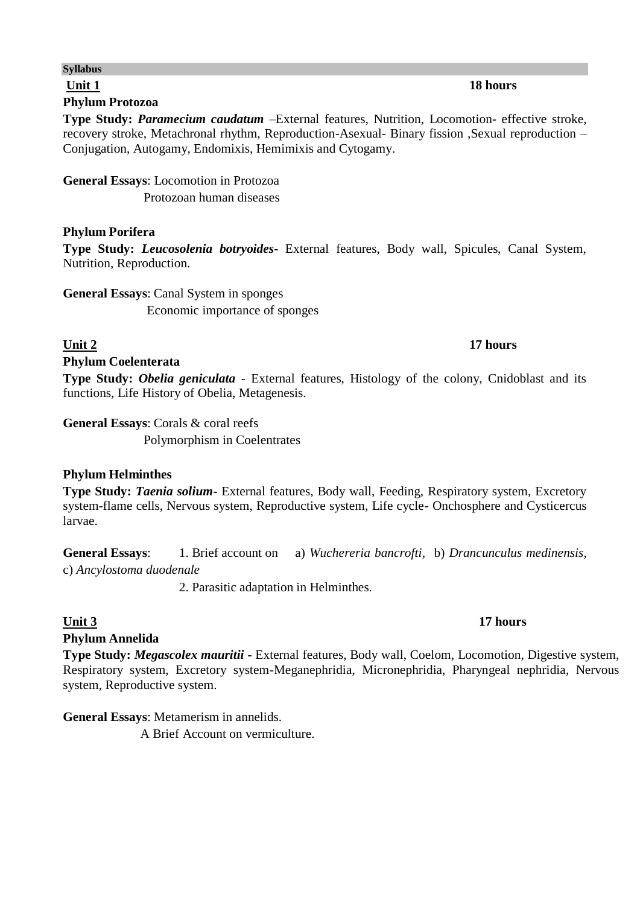# **Unit 1 18 hours**

**Syllabus**

### **Phylum Protozoa**

**Type Study:** *Paramecium caudatum* –External features, Nutrition, Locomotion- effective stroke, recovery stroke, Metachronal rhythm, Reproduction-Asexual- Binary fission ,Sexual reproduction – Conjugation, Autogamy, Endomixis, Hemimixis and Cytogamy.

# **General Essays**: Locomotion in Protozoa

Protozoan human diseases

### **Phylum Porifera**

**Type Study:** *Leucosolenia botryoides***-** External features, Body wall, Spicules, Canal System, Nutrition, Reproduction.

**General Essays**: Canal System in sponges Economic importance of sponges

### **Unit 2 17 hours**

### **Phylum Coelenterata**

**Type Study:** *Obelia geniculata* - External features, Histology of the colony, Cnidoblast and its functions, Life History of Obelia, Metagenesis.

**General Essays**: Corals & coral reefs Polymorphism in Coelentrates

### **Phylum Helminthes**

**Type Study:** *Taenia solium***-** External features, Body wall, Feeding, Respiratory system, Excretory system-flame cells, Nervous system, Reproductive system, Life cycle- Onchosphere and Cysticercus larvae.

**General Essays**: 1. Brief account on a) *Wuchereria bancrofti,* b) *Drancunculus medinensis,* c) *Ancylostoma duodenale*

2. Parasitic adaptation in Helminthes.

### **Phylum Annelida**

**Type Study:** *Megascolex mauritii* **-** External features, Body wall, Coelom, Locomotion, Digestive system, Respiratory system, Excretory system-Meganephridia, Micronephridia, Pharyngeal nephridia, Nervous system, Reproductive system.

### **General Essays**: Metamerism in annelids.

A Brief Account on vermiculture.

### **Unit 3** 17 hours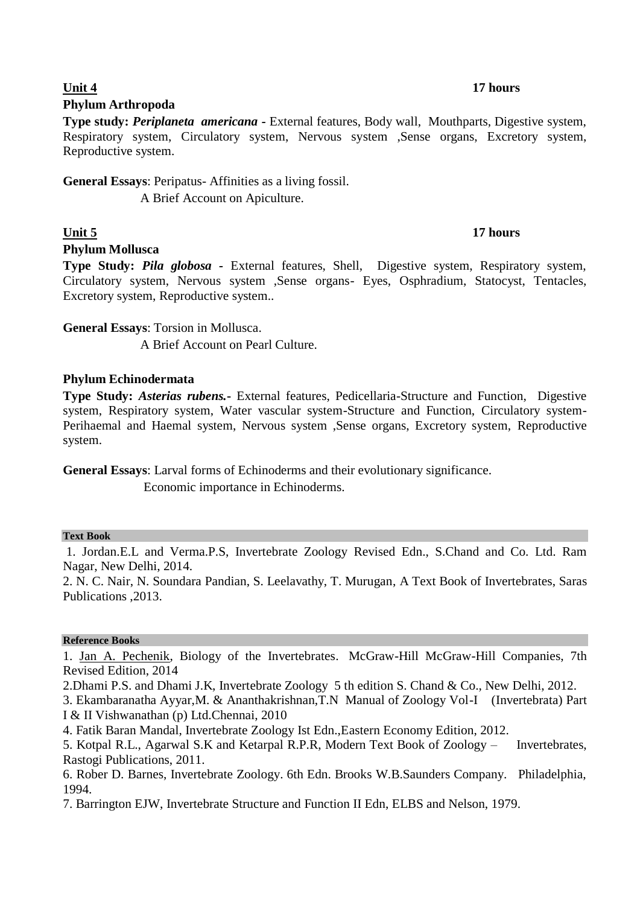### **Phylum Arthropoda**

**Type study:** *Periplaneta americana -* External features, Body wall, Mouthparts, Digestive system, Respiratory system, Circulatory system, Nervous system ,Sense organs, Excretory system, Reproductive system.

**General Essays**: Peripatus- Affinities as a living fossil.

A Brief Account on Apiculture.

### **Phylum Mollusca**

**Type Study:** *Pila globosa -* External features, Shell, Digestive system, Respiratory system, Circulatory system, Nervous system ,Sense organs- Eyes, Osphradium, Statocyst, Tentacles, Excretory system, Reproductive system..

**General Essays**: Torsion in Mollusca.

A Brief Account on Pearl Culture.

### **Phylum Echinodermata**

**Type Study:** *Asterias rubens.***-** External features, Pedicellaria-Structure and Function, Digestive system, Respiratory system, Water vascular system-Structure and Function, Circulatory system-Perihaemal and Haemal system, Nervous system ,Sense organs, Excretory system, Reproductive system.

**General Essays**: Larval forms of Echinoderms and their evolutionary significance. Economic importance in Echinoderms.

#### **Text Book**

1. Jordan.E.L and Verma.P.S, Invertebrate Zoology Revised Edn., S.Chand and Co. Ltd. Ram Nagar, New Delhi, 2014.

2. N. C. Nair, N. Soundara Pandian, S. Leelavathy, T. Murugan, A Text Book of Invertebrates, Saras Publications ,2013.

#### **Reference Books**

1. [Jan A. Pechenik,](http://www.amazon.ca/s/189-4972391-6445028?_encoding=UTF8&field-author=Jan%20A.%20Pechenik&search-alias=books-ca) Biology of the Invertebrates. McGraw-Hill McGraw-Hill Companies, 7th Revised Edition, 2014

2.Dhami P.S. and Dhami J.K, Invertebrate Zoology 5 th edition S. Chand & Co., New Delhi, 2012.

3. Ekambaranatha Ayyar,M. & Ananthakrishnan,T.N Manual of Zoology Vol-I (Invertebrata) Part I & II Vishwanathan (p) Ltd.Chennai, 2010

4. Fatik Baran Mandal, Invertebrate Zoology Ist Edn.,Eastern Economy Edition, 2012.

5. Kotpal R.L., Agarwal S.K and Ketarpal R.P.R, Modern Text Book of Zoology – Invertebrates, Rastogi Publications, 2011.

6. Rober D. Barnes, Invertebrate Zoology. 6th Edn. Brooks W.B.Saunders Company. Philadelphia, 1994.

7. Barrington EJW, Invertebrate Structure and Function II Edn, ELBS and Nelson, 1979.

# **Unit 4** 17 hours

### **Unit 5 17 hours**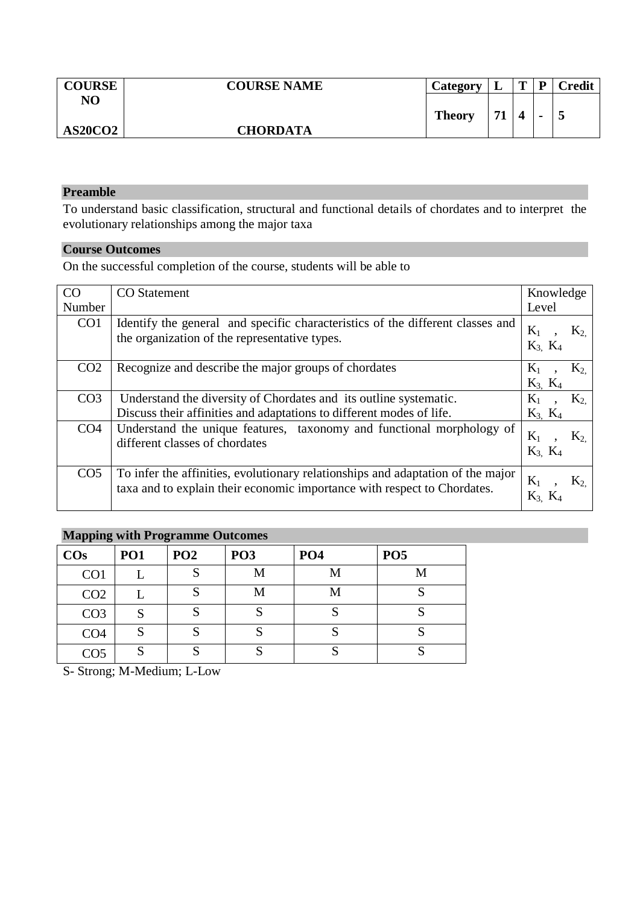| <b>COURSE</b>  | <b>COURSE NAME</b> | Category      | ┻  | $\mathbf{r}$ | D              | Credit |
|----------------|--------------------|---------------|----|--------------|----------------|--------|
| NO             |                    | <b>Theory</b> | 71 | 4            |                |        |
| <b>AS20CO2</b> | <b>CHORDATA</b>    |               | л  |              | $\blacksquare$ | ັ      |

To understand basic classification, structural and functional details of chordates and to interpret the evolutionary relationships among the major taxa

### **Course Outcomes**

On the successful completion of the course, students will be able to

| CO <sub>1</sub> | <b>CO</b> Statement                                                                                                                                         | Knowledge              |       |
|-----------------|-------------------------------------------------------------------------------------------------------------------------------------------------------------|------------------------|-------|
| Number          |                                                                                                                                                             | Level                  |       |
| CO <sub>1</sub> | Identify the general and specific characteristics of the different classes and<br>the organization of the representative types.                             | $K_1$<br>$K_3$ , $K_4$ | $K_2$ |
| CO <sub>2</sub> | Recognize and describe the major groups of chordates                                                                                                        | $K_1$<br>$K_3$ $K_4$   | $K_2$ |
| CO <sub>3</sub> | Understand the diversity of Chordates and its outline systematic.                                                                                           | $K_1$                  | $K_2$ |
|                 | Discuss their affinities and adaptations to different modes of life.                                                                                        | $K_3$ , $K_4$          |       |
| CO <sub>4</sub> | Understand the unique features, taxonomy and functional morphology of<br>different classes of chordates                                                     | $K_1$<br>$K_3$ $K_4$   | $K_2$ |
| CO <sub>5</sub> | To infer the affinities, evolutionary relationships and adaptation of the major<br>taxa and to explain their economic importance with respect to Chordates. | $K_1$                  | K2    |

# **Mapping with Programme Outcomes**

| $\cos$          | <b>PO1</b> | PO <sub>2</sub> | PO <sub>3</sub> | PO <sub>4</sub> | PO <sub>5</sub> |
|-----------------|------------|-----------------|-----------------|-----------------|-----------------|
| CO <sub>1</sub> |            |                 | M               | M               | M               |
| CO <sub>2</sub> |            |                 | M               | М               |                 |
| CO <sub>3</sub> |            |                 |                 |                 |                 |
| CO <sub>4</sub> | N          |                 |                 |                 |                 |
| CO <sub>5</sub> | N          |                 |                 |                 |                 |

S- Strong; M-Medium; L-Low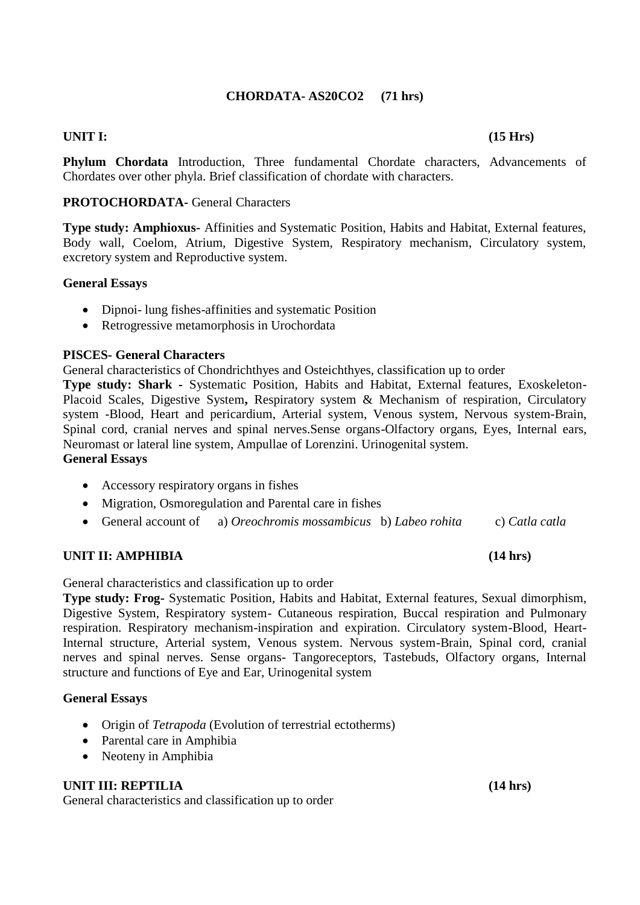### **CHORDATA- AS20CO2 (71 hrs)**

### **UNIT I: (15 Hrs)**

**Phylum Chordata** Introduction, Three fundamental Chordate characters, Advancements of Chordates over other phyla. Brief classification of chordate with characters.

#### **PROTOCHORDATA-** General Characters

**Type study: Amphioxus-** Affinities and Systematic Position, Habits and Habitat, External features, Body wall, Coelom, Atrium, Digestive System, Respiratory mechanism, Circulatory system, excretory system and Reproductive system.

#### **General Essays**

- Dipnoi- lung fishes-affinities and systematic Position
- Retrogressive metamorphosis in Urochordata

#### **PISCES- General Characters**

General characteristics of Chondrichthyes and Osteichthyes, classification up to order

**Type study: Shark -** Systematic Position, Habits and Habitat, External features, Exoskeleton-Placoid Scales, Digestive System**,** Respiratory system & Mechanism of respiration, Circulatory system -Blood, Heart and pericardium, Arterial system, Venous system, Nervous system-Brain, Spinal cord, cranial nerves and spinal nerves.Sense organs-Olfactory organs, Eyes, Internal ears, Neuromast or lateral line system, Ampullae of Lorenzini. Urinogenital system.

#### **General Essays**

- Accessory respiratory organs in fishes
- Migration, Osmoregulation and Parental care in fishes
- General account of a) *Oreochromis mossambicus* b) *Labeo rohita*c) *Catla catla*

#### **UNIT II: AMPHIBIA (14 hrs)**

#### General characteristics and classification up to order

**Type study: Frog-** Systematic Position, Habits and Habitat, External features, Sexual dimorphism, Digestive System, Respiratory system- Cutaneous respiration, Buccal respiration and Pulmonary respiration. Respiratory mechanism-inspiration and expiration. Circulatory system-Blood, Heart-Internal structure, Arterial system, Venous system. Nervous system-Brain, Spinal cord, cranial nerves and spinal nerves. Sense organs- Tangoreceptors, Tastebuds, Olfactory organs, Internal structure and functions of Eye and Ear, Urinogenital system

#### **General Essays**

- Origin of *Tetrapoda* (Evolution of terrestrial ectotherms)
- Parental care in Amphibia
- Neoteny in Amphibia

#### **UNIT III: REPTILIA** (14 hrs)

General characteristics and classification up to order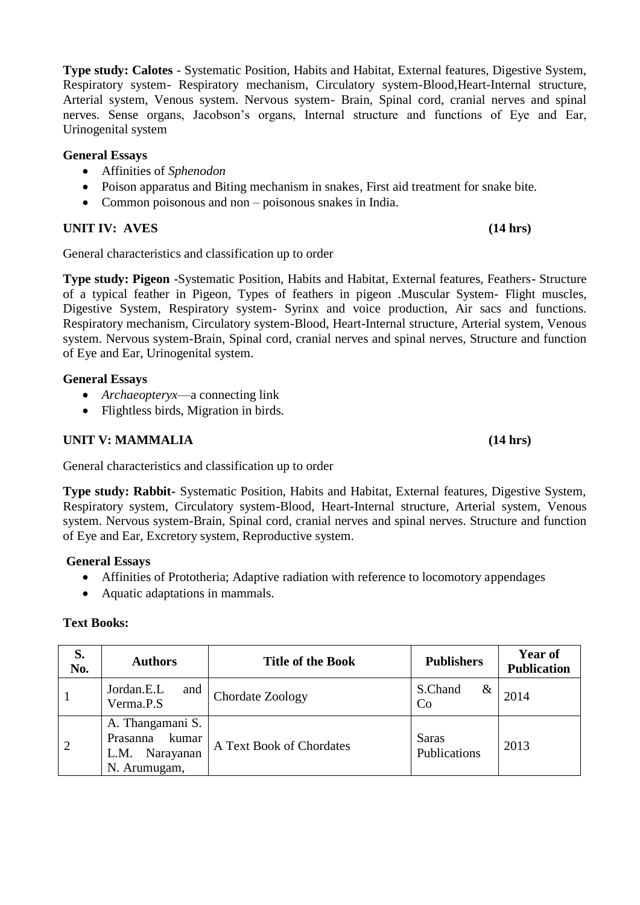**Type study: Calotes** - Systematic Position, Habits and Habitat, External features, Digestive System, Respiratory system- Respiratory mechanism, Circulatory system-Blood,Heart-Internal structure, Arterial system, Venous system. Nervous system- Brain, Spinal cord, cranial nerves and spinal nerves. Sense organs, Jacobson's organs, Internal structure and functions of Eye and Ear, Urinogenital system

### **General Essays**

- Affinities of *Sphenodon*
- Poison apparatus and Biting mechanism in snakes, First aid treatment for snake bite.
- Common poisonous and non poisonous snakes in India.

### **UNIT IV:** AVES (14 hrs)

General characteristics and classification up to order

**Type study: Pigeon** -Systematic Position, Habits and Habitat, External features, Feathers- Structure of a typical feather in Pigeon, Types of feathers in pigeon .Muscular System- Flight muscles, Digestive System, Respiratory system- Syrinx and voice production, Air sacs and functions. Respiratory mechanism, Circulatory system-Blood, Heart-Internal structure, Arterial system, Venous system. Nervous system-Brain, Spinal cord, cranial nerves and spinal nerves, Structure and function of Eye and Ear, Urinogenital system.

### **General Essays**

- *Archaeopteryx*—a connecting link
- Flightless birds, Migration in birds.

### **UNIT V: MAMMALIA** (14 hrs)

General characteristics and classification up to order

**Type study: Rabbit-** Systematic Position, Habits and Habitat, External features, Digestive System, Respiratory system, Circulatory system-Blood, Heart-Internal structure, Arterial system, Venous system. Nervous system-Brain, Spinal cord, cranial nerves and spinal nerves. Structure and function of Eye and Ear, Excretory system, Reproductive system.

### **General Essays**

- Affinities of Prototheria; Adaptive radiation with reference to locomotory appendages
- Aquatic adaptations in mammals.

#### **Text Books:**

| S.<br>No.      | <b>Authors</b>                                                             | <b>Title of the Book</b> | <b>Publishers</b>            | <b>Year of</b><br><b>Publication</b> |
|----------------|----------------------------------------------------------------------------|--------------------------|------------------------------|--------------------------------------|
|                | Jordan.E.L<br>and<br>Verma <sub>.P.S</sub>                                 | Chordate Zoology         | S.Chand<br>&<br>Co           | 2014                                 |
| $\overline{2}$ | A. Thangamani S.<br>kumar<br>Prasanna<br>Narayanan<br>L.M.<br>N. Arumugam, | A Text Book of Chordates | <b>Saras</b><br>Publications | 2013                                 |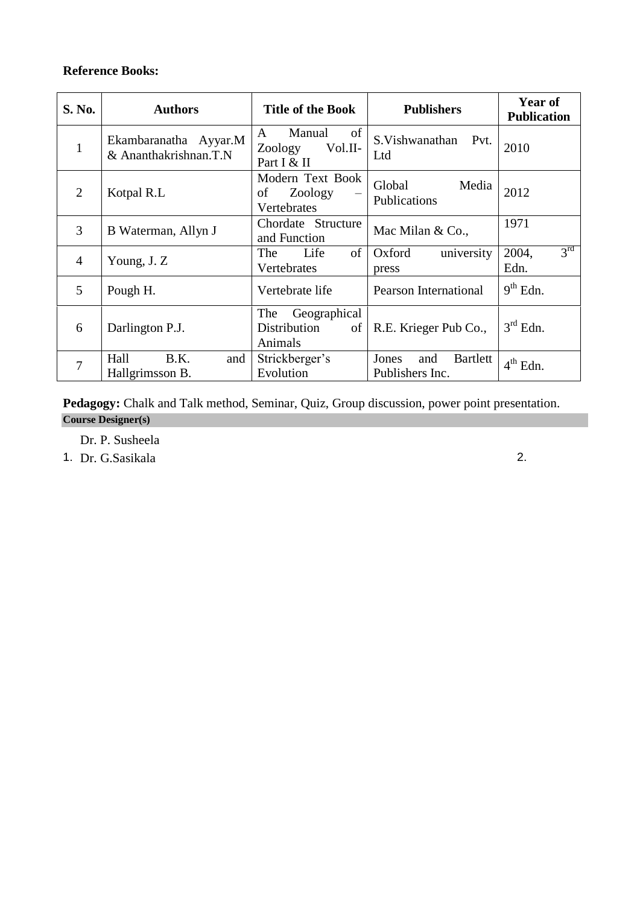### **Reference Books:**

| S. No.         | <b>Authors</b>                                 | <b>Title of the Book</b>                               | <b>Publishers</b>                           | Year of<br><b>Publication</b>    |
|----------------|------------------------------------------------|--------------------------------------------------------|---------------------------------------------|----------------------------------|
| $\mathbf{1}$   | Ekambaranatha Ayyar.M<br>& Ananthakrishnan.T.N | of<br>Manual<br>A<br>Zoology<br>Vol.II-<br>Part I & II | S. Vishwanathan<br>Pvt.<br>Ltd              | 2010                             |
| $\overline{2}$ | Kotpal R.L                                     | Modern Text Book<br>of<br>Zoology<br>Vertebrates       | Media<br>Global<br>Publications             | 2012                             |
| 3              | B Waterman, Allyn J                            | Chordate Structure<br>and Function                     | Mac Milan & Co.,                            | 1971                             |
| $\overline{4}$ | Young, J.Z                                     | of<br>The<br>Life<br>Vertebrates                       | Oxford<br>university<br>press               | $3^{\text{rd}}$<br>2004,<br>Edn. |
| 5              | Pough H.                                       | Vertebrate life                                        | <b>Pearson International</b>                | $9th$ Edn.                       |
| 6              | Darlington P.J.                                | Geographical<br>The<br>Distribution<br>of<br>Animals   | R.E. Krieger Pub Co.,                       | $3rd$ Edn.                       |
| $\overline{7}$ | Hall<br>B.K.<br>and<br>Hallgrimsson B.         | Strickberger's<br>Evolution                            | Jones<br>Bartlett<br>and<br>Publishers Inc. | $4th$ Edn.                       |

Pedagogy: Chalk and Talk method, Seminar, Quiz, Group discussion, power point presentation. **Course Designer(s)**

Dr. P. Susheela

1. Dr. G.Sasikala 2.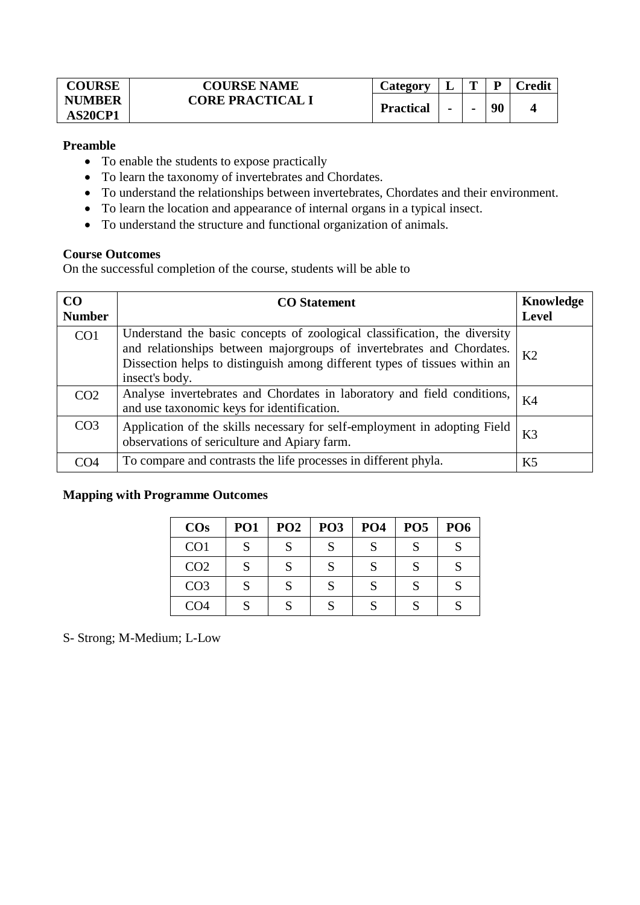| <b>COURSE</b> | <b>COURSE NAME</b>      | <b>Lategory</b>  | ≖              | m | D  | redit\ |
|---------------|-------------------------|------------------|----------------|---|----|--------|
| <b>NUMBER</b> | <b>CORE PRACTICAL I</b> | <b>Practical</b> |                |   | 90 |        |
| AS20CP1       |                         |                  | $\blacksquare$ |   |    |        |

- To enable the students to expose practically
- To learn the taxonomy of invertebrates and Chordates.
- To understand the relationships between invertebrates, Chordates and their environment.
- To learn the location and appearance of internal organs in a typical insect.
- To understand the structure and functional organization of animals.

#### **Course Outcomes**

On the successful completion of the course, students will be able to

| CO<br><b>Number</b> | <b>CO</b> Statement                                                                                                                                                                                                                                | Knowledge<br><b>Level</b> |
|---------------------|----------------------------------------------------------------------------------------------------------------------------------------------------------------------------------------------------------------------------------------------------|---------------------------|
| CO <sub>1</sub>     | Understand the basic concepts of zoological classification, the diversity<br>and relationships between majorgroups of invertebrates and Chordates.<br>Dissection helps to distinguish among different types of tissues within an<br>insect's body. | K <sub>2</sub>            |
| CO <sub>2</sub>     | Analyse invertebrates and Chordates in laboratory and field conditions,<br>and use taxonomic keys for identification.                                                                                                                              | K <sub>4</sub>            |
| CO <sub>3</sub>     | Application of the skills necessary for self-employment in adopting Field<br>observations of sericulture and Apiary farm.                                                                                                                          | K3                        |
| ∩⊿                  | To compare and contrasts the life processes in different phyla.                                                                                                                                                                                    | K <sub>5</sub>            |

#### **Mapping with Programme Outcomes**

| <b>COs</b>      | PO <sub>1</sub> | PO <sub>2</sub> | <b>PO3</b> | PO <sub>4</sub> | PO <sub>5</sub> | PO <sub>6</sub> |
|-----------------|-----------------|-----------------|------------|-----------------|-----------------|-----------------|
| CO <sub>1</sub> | S               | R               |            |                 | Q               |                 |
| CO <sub>2</sub> | S               | C               | C          |                 | S               |                 |
| CO <sub>3</sub> | S               | C               |            |                 | S               |                 |
| CO <sub>4</sub> | S               |                 |            |                 |                 |                 |

S- Strong; M-Medium; L-Low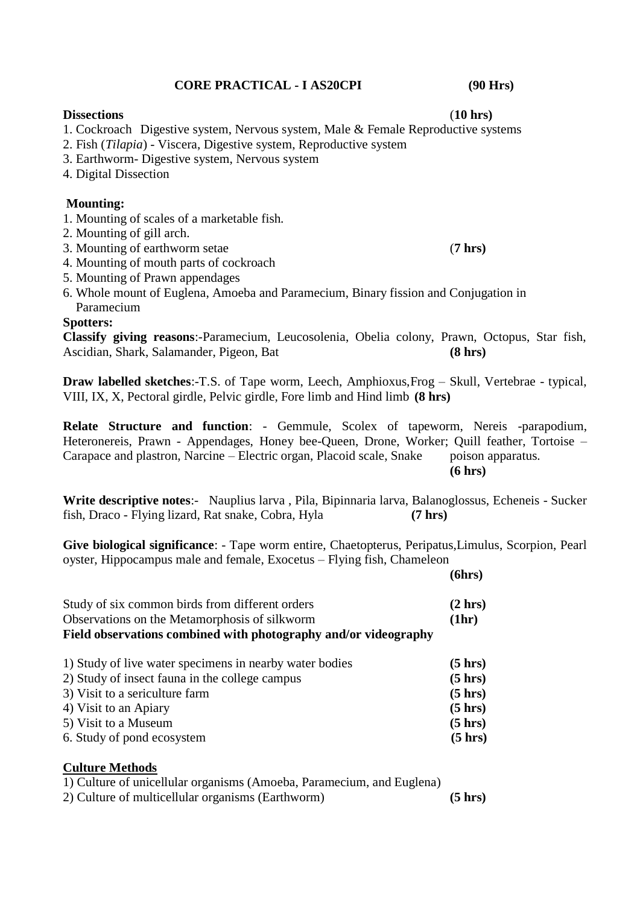#### **CORE PRACTICAL - I AS20CPI (90 Hrs)**

**Dissections** (**10 hrs)**

1. Cockroach Digestive system, Nervous system, Male & Female Reproductive systems

- 2. Fish (*Tilapia*) Viscera, Digestive system, Reproductive system
- 3. Earthworm- Digestive system, Nervous system
- 4. Digital Dissection

#### **Mounting:**

- 1. Mounting of scales of a marketable fish.
- 2. Mounting of gill arch.
- 3. Mounting of earthworm setae (**7 hrs)**
- 4. Mounting of mouth parts of cockroach
- 5. Mounting of Prawn appendages
- 6. Whole mount of Euglena, Amoeba and Paramecium, Binary fission and Conjugation in Paramecium

### **Spotters:**

**Classify giving reasons**:-Paramecium, Leucosolenia, Obelia colony, Prawn, Octopus, Star fish, Ascidian, Shark, Salamander, Pigeon, Bat **(8 hrs)**

**Draw labelled sketches**:-T.S. of Tape worm, Leech, Amphioxus,Frog – Skull, Vertebrae - typical, VIII, IX, X, Pectoral girdle, Pelvic girdle, Fore limb and Hind limb **(8 hrs)**

**Relate Structure and function**: - Gemmule, Scolex of tapeworm, Nereis -parapodium, Heteronereis, Prawn - Appendages, Honey bee-Queen, Drone, Worker; Quill feather, Tortoise – Carapace and plastron, Narcine – Electric organ, Placoid scale, Snake poison apparatus. **(6 hrs)**

**Write descriptive notes**:- Nauplius larva , Pila, Bipinnaria larva, Balanoglossus, Echeneis - Sucker fish, Draco - Flying lizard, Rat snake, Cobra, Hyla **(7 hrs)**

**Give biological significance**: - Tape worm entire, Chaetopterus, Peripatus,Limulus, Scorpion, Pearl oyster, Hippocampus male and female, Exocetus – Flying fish, Chameleon

|                                                                 | (6hrs) |
|-----------------------------------------------------------------|--------|
| Study of six common birds from different orders                 | (2 hr) |
| Observations on the Metamorphosis of silkworm                   | (1hr)  |
| Field observations combined with photography and/or videography |        |

| 1) Study of live water specimens in nearby water bodies | $(5 \text{ hrs})$ |
|---------------------------------------------------------|-------------------|
| 2) Study of insect fauna in the college campus          | $(5 \text{ hrs})$ |
| 3) Visit to a sericulture farm                          | $(5 \text{ hrs})$ |
| 4) Visit to an Apiary                                   | $(5 \text{ hrs})$ |
| 5) Visit to a Museum                                    | $(5 \text{ hrs})$ |
| 6. Study of pond ecosystem                              | $(5 \text{ hrs})$ |

#### **Culture Methods**

1) Culture of unicellular organisms (Amoeba, Paramecium, and Euglena)

2) Culture of multicellular organisms (Earthworm) **(5 hrs)**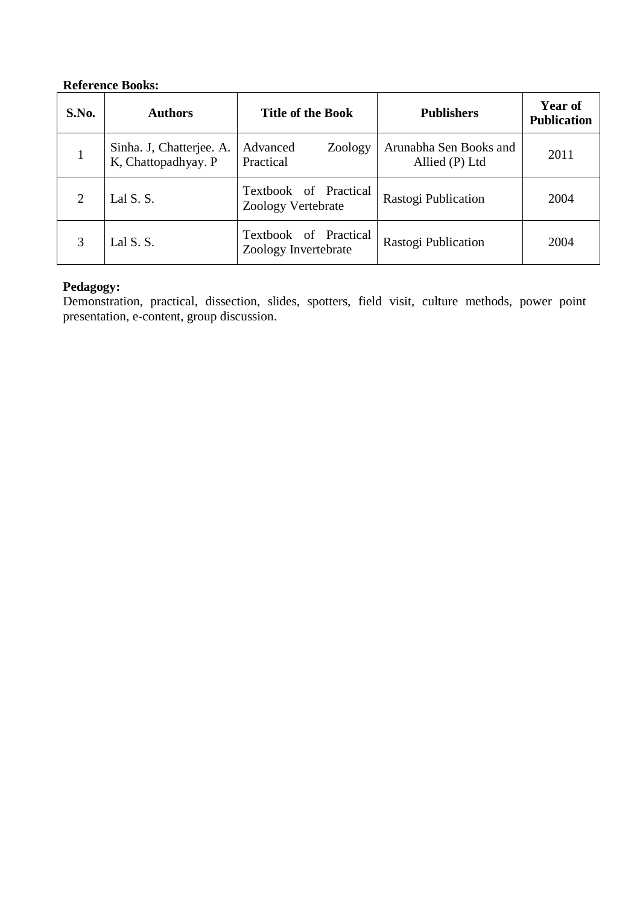# **Reference Books:**

| S.No.          | <b>Authors</b>                                  | <b>Title of the Book</b>                      | <b>Publishers</b>                        | Year of<br><b>Publication</b> |
|----------------|-------------------------------------------------|-----------------------------------------------|------------------------------------------|-------------------------------|
|                | Sinha. J, Chatterjee. A.<br>K, Chattopadhyay. P | Advanced<br>Zoology<br>Practical              | Arunabha Sen Books and<br>Allied (P) Ltd | 2011                          |
| $\overline{2}$ | Lal S. S.                                       | Textbook of Practical<br>Zoology Vertebrate   | Rastogi Publication                      | 2004                          |
| 3              | Lal S. S.                                       | Textbook of Practical<br>Zoology Invertebrate | Rastogi Publication                      | 2004                          |

### **Pedagogy:**

Demonstration, practical, dissection, slides, spotters, field visit, culture methods, power point presentation, e-content, group discussion.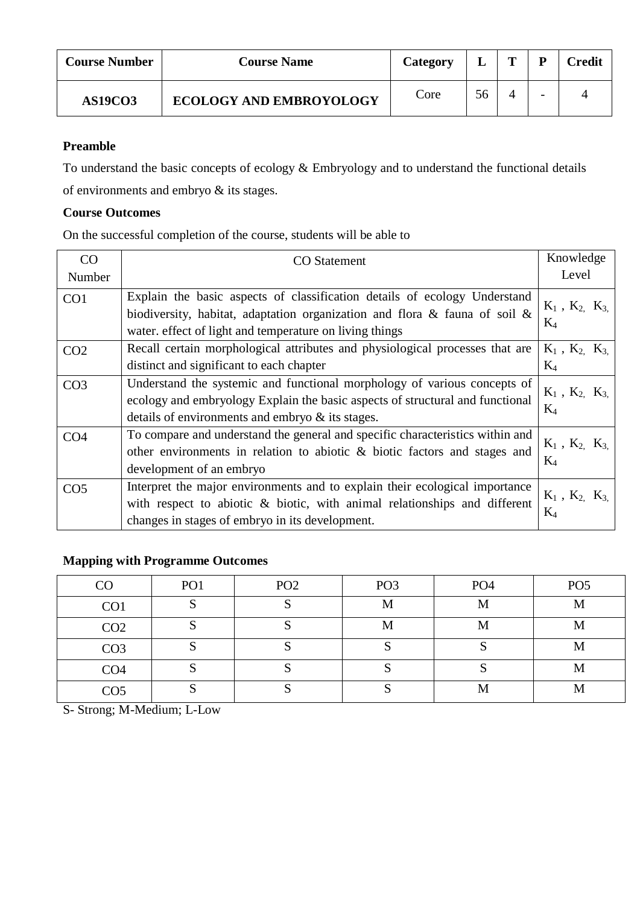| <b>Course Number</b> | <b>Course Name</b>             | Category | ┻  | m |                          | <b>Credit</b> |
|----------------------|--------------------------------|----------|----|---|--------------------------|---------------|
| <b>AS19CO3</b>       | <b>ECOLOGY AND EMBROYOLOGY</b> | Core     | 56 |   | $\overline{\phantom{0}}$ |               |

To understand the basic concepts of ecology & Embryology and to understand the functional details of environments and embryo & its stages.

### **Course Outcomes**

On the successful completion of the course, students will be able to

| CO              | <b>CO</b> Statement                                                                                                                                                                                                      | Knowledge                      |
|-----------------|--------------------------------------------------------------------------------------------------------------------------------------------------------------------------------------------------------------------------|--------------------------------|
| Number          |                                                                                                                                                                                                                          | Level                          |
| CO <sub>1</sub> | Explain the basic aspects of classification details of ecology Understand<br>biodiversity, habitat, adaptation organization and flora $\&$ fauna of soil $\&$<br>water, effect of light and temperature on living things | $K_1$ , $K_2$ , $K_3$<br>$K_4$ |
| CO <sub>2</sub> | Recall certain morphological attributes and physiological processes that are<br>distinct and significant to each chapter                                                                                                 | $K_1$ , $K_2$ , $K_3$<br>$K_4$ |
| CO <sub>3</sub> | Understand the systemic and functional morphology of various concepts of<br>ecology and embryology Explain the basic aspects of structural and functional<br>details of environments and embryo & its stages.            | $K_1$ , $K_2$ , $K_3$<br>$K_4$ |
| CO <sub>4</sub> | To compare and understand the general and specific characteristics within and<br>other environments in relation to abiotic $\&$ biotic factors and stages and<br>development of an embryo                                | $K_1$ , $K_2$ , $K_3$<br>$K_4$ |
| CO <sub>5</sub> | Interpret the major environments and to explain their ecological importance<br>with respect to abiotic & biotic, with animal relationships and different<br>changes in stages of embryo in its development.              | $K_1$ , $K_2$ , $K_3$<br>$K_4$ |

# **Mapping with Programme Outcomes**

| CO              | PO <sub>1</sub> | PO <sub>2</sub> | PO <sub>3</sub> | PO <sub>4</sub> | PO <sub>5</sub> |
|-----------------|-----------------|-----------------|-----------------|-----------------|-----------------|
| CO <sub>1</sub> |                 |                 | M               | M               | M               |
| CO <sub>2</sub> |                 |                 | M               | M               | M               |
| CO <sub>3</sub> |                 |                 |                 |                 | M               |
| CO <sub>4</sub> |                 |                 |                 |                 | M               |
| CO <sub>5</sub> |                 |                 |                 | М               | M               |

S- Strong; M-Medium; L-Low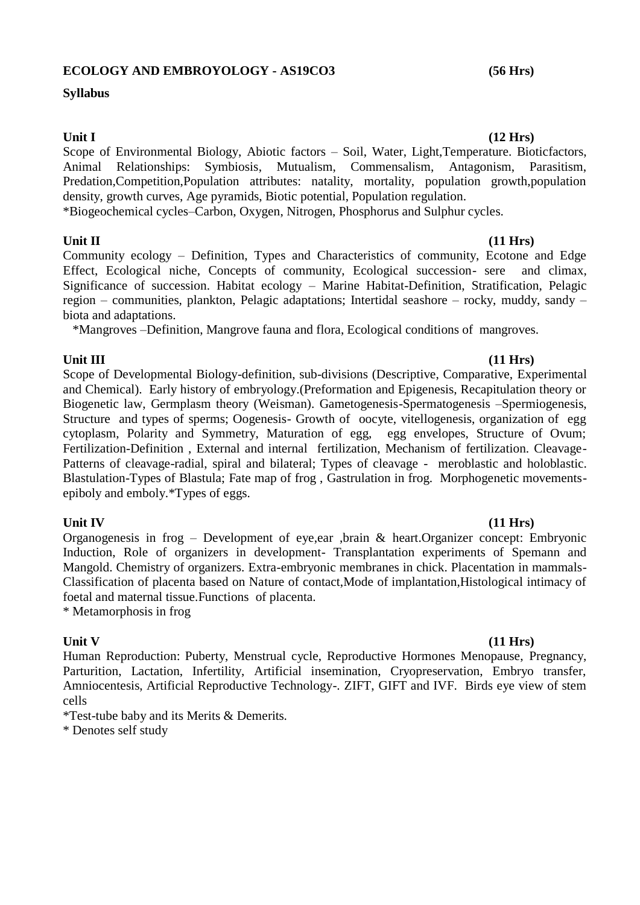#### **ECOLOGY AND EMBROYOLOGY - AS19CO3 (56 Hrs)**

#### **Syllabus**

#### Unit I (12 **Hrs)**

Scope of Environmental Biology, Abiotic factors – Soil, Water, Light,Temperature. Bioticfactors, Animal Relationships: Symbiosis, Mutualism, Commensalism, Antagonism, Parasitism, Predation,Competition,Population attributes: natality, mortality, population growth,population density, growth curves, Age pyramids, Biotic potential, Population regulation.

\*Biogeochemical cycles–Carbon, Oxygen, Nitrogen, Phosphorus and Sulphur cycles.

### **Unit II (11 Hrs)**

Community ecology – Definition, Types and Characteristics of community, Ecotone and Edge Effect, Ecological niche, Concepts of community, Ecological succession- sere and climax, Significance of succession. Habitat ecology – Marine Habitat-Definition, Stratification, Pelagic region – communities, plankton, Pelagic adaptations; Intertidal seashore – rocky, muddy, sandy – biota and adaptations.

\*Mangroves –Definition, Mangrove fauna and flora, Ecological conditions of mangroves.

### Unit III (11 **Hrs**)

Scope of Developmental Biology-definition, sub-divisions (Descriptive, Comparative, Experimental and Chemical). Early history of embryology.(Preformation and Epigenesis, Recapitulation theory or Biogenetic law, Germplasm theory (Weisman). Gametogenesis-Spermatogenesis –Spermiogenesis, Structure and types of sperms; Oogenesis- Growth of oocyte, vitellogenesis, organization of egg cytoplasm, Polarity and Symmetry, Maturation of egg, egg envelopes, Structure of Ovum; Fertilization-Definition , External and internal fertilization, Mechanism of fertilization. Cleavage-Patterns of cleavage-radial, spiral and bilateral; Types of cleavage - meroblastic and holoblastic. Blastulation-Types of Blastula; Fate map of frog , Gastrulation in frog. Morphogenetic movementsepiboly and emboly.\*Types of eggs.

**Unit IV (11 Hrs)** Organogenesis in frog – Development of eye,ear ,brain & heart.Organizer concept: Embryonic Induction, Role of organizers in development- Transplantation experiments of Spemann and Mangold. Chemistry of organizers. Extra-embryonic membranes in chick. Placentation in mammals-Classification of placenta based on Nature of contact,Mode of implantation,Histological intimacy of foetal and maternal tissue.Functions of placenta.

\* Metamorphosis in frog

**Unit V (11 Hrs)** Human Reproduction: Puberty, Menstrual cycle, Reproductive Hormones Menopause, Pregnancy, Parturition, Lactation, Infertility, Artificial insemination, Cryopreservation, Embryo transfer, Amniocentesis, Artificial Reproductive Technology-. ZIFT, GIFT and IVF. Birds eye view of stem cells

\*Test-tube baby and its Merits & Demerits.

\* Denotes self study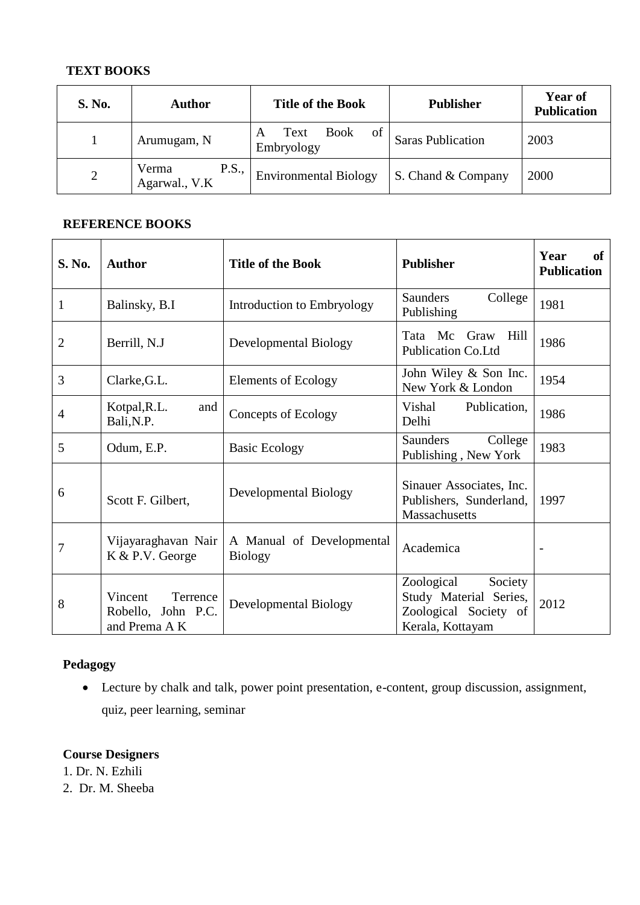# **TEXT BOOKS**

| <b>S. No.</b>  | Author                                 | <b>Title of the Book</b>                     | <b>Publisher</b>         | <b>Year of</b><br><b>Publication</b> |
|----------------|----------------------------------------|----------------------------------------------|--------------------------|--------------------------------------|
|                | Arumugam, N                            | <b>Book</b><br>of<br>Text<br>A<br>Embryology | <b>Saras Publication</b> | 2003                                 |
| $\overline{2}$ | <b>P.S.,</b><br>Verma<br>Agarwal., V.K | <b>Environmental Biology</b>                 | S. Chand & Company       | 2000                                 |

# **REFERENCE BOOKS**

| <b>S. No.</b>  | <b>Author</b>                                              | <b>Title of the Book</b>                    | <b>Publisher</b>                                                                             | of<br>Year<br><b>Publication</b> |
|----------------|------------------------------------------------------------|---------------------------------------------|----------------------------------------------------------------------------------------------|----------------------------------|
| $\mathbf{1}$   | Balinsky, B.I                                              | Introduction to Embryology                  | Saunders<br>College<br>Publishing                                                            | 1981                             |
| $\overline{2}$ | Berrill, N.J                                               | Developmental Biology                       | Mc<br>Hill<br>Tata<br>Graw<br>Publication Co.Ltd                                             | 1986                             |
| 3              | Clarke, G.L.                                               | <b>Elements of Ecology</b>                  | John Wiley & Son Inc.<br>New York & London                                                   | 1954                             |
| $\overline{4}$ | Kotpal, R.L.<br>and<br>Bali, N.P.                          | Concepts of Ecology                         | Publication,<br>Vishal<br>Delhi                                                              | 1986                             |
| 5              | Odum, E.P.                                                 | <b>Basic Ecology</b>                        | Saunders<br>College<br>Publishing, New York                                                  | 1983                             |
| 6              | Scott F. Gilbert,                                          | Developmental Biology                       | Sinauer Associates, Inc.<br>Publishers, Sunderland,<br>Massachusetts                         | 1997                             |
| 7              | Vijayaraghavan Nair<br>K & P.V. George                     | A Manual of Developmental<br><b>Biology</b> | Academica                                                                                    | $\qquad \qquad \blacksquare$     |
| 8              | Vincent<br>Terrence<br>Robello, John P.C.<br>and Prema A K | <b>Developmental Biology</b>                | Society<br>Zoological<br>Study Material Series,<br>Zoological Society of<br>Kerala, Kottayam | 2012                             |

# **Pedagogy**

 Lecture by chalk and talk, power point presentation, e-content, group discussion, assignment, quiz, peer learning, seminar

# **Course Designers**

1. Dr. N. Ezhili

2. Dr. M. Sheeba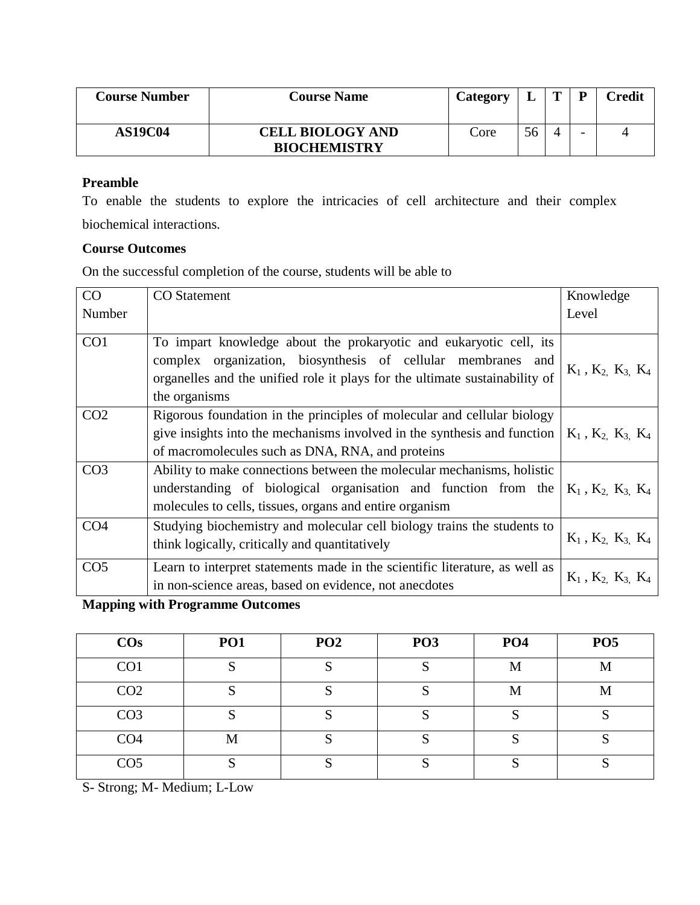| <b>Course Number</b> | <b>Course Name</b>                             | Category |    | D                        | Credit |
|----------------------|------------------------------------------------|----------|----|--------------------------|--------|
| <b>AS19C04</b>       | <b>CELL BIOLOGY AND</b><br><b>BIOCHEMISTRY</b> | Core     | 56 | $\overline{\phantom{0}}$ |        |

To enable the students to explore the intricacies of cell architecture and their complex biochemical interactions.

#### **Course Outcomes**

On the successful completion of the course, students will be able to

| CO              | <b>CO</b> Statement                                                         | Knowledge                     |
|-----------------|-----------------------------------------------------------------------------|-------------------------------|
| Number          |                                                                             | Level                         |
|                 |                                                                             |                               |
| CO <sub>1</sub> | To impart knowledge about the prokaryotic and eukaryotic cell, its          |                               |
|                 | complex organization, biosynthesis of cellular membranes and                |                               |
|                 | organelles and the unified role it plays for the ultimate sustainability of | $K_1$ , $K_2$ , $K_3$ , $K_4$ |
|                 | the organisms                                                               |                               |
| CO <sub>2</sub> | Rigorous foundation in the principles of molecular and cellular biology     |                               |
|                 | give insights into the mechanisms involved in the synthesis and function    | $K_1$ , $K_2$ , $K_3$ , $K_4$ |
|                 | of macromolecules such as DNA, RNA, and proteins                            |                               |
| CO <sub>3</sub> | Ability to make connections between the molecular mechanisms, holistic      |                               |
|                 | understanding of biological organisation and function from the              | $K_1$ , $K_2$ , $K_3$ , $K_4$ |
|                 | molecules to cells, tissues, organs and entire organism                     |                               |
| CO <sub>4</sub> | Studying biochemistry and molecular cell biology trains the students to     |                               |
|                 | think logically, critically and quantitatively                              | $K_1$ , $K_2$ , $K_3$ , $K_4$ |
| CO <sub>5</sub> | Learn to interpret statements made in the scientific literature, as well as |                               |
|                 | in non-science areas, based on evidence, not anecdotes                      | $K_1$ , $K_2$ , $K_3$ , $K_4$ |

**Mapping with Programme Outcomes**

| $\cos$          | <b>PO1</b> | PO <sub>2</sub> | PO <sub>3</sub> | PO <sub>4</sub> | PO <sub>5</sub> |
|-----------------|------------|-----------------|-----------------|-----------------|-----------------|
| CO <sub>1</sub> | N          | к.              |                 | M               | M               |
| CO <sub>2</sub> | N          | к.              |                 | М               | M               |
| CO <sub>3</sub> |            |                 |                 | $\sim$          |                 |
| CO <sub>4</sub> | М          |                 |                 |                 |                 |
| CO <sub>5</sub> |            | C               |                 |                 |                 |

S- Strong; M- Medium; L-Low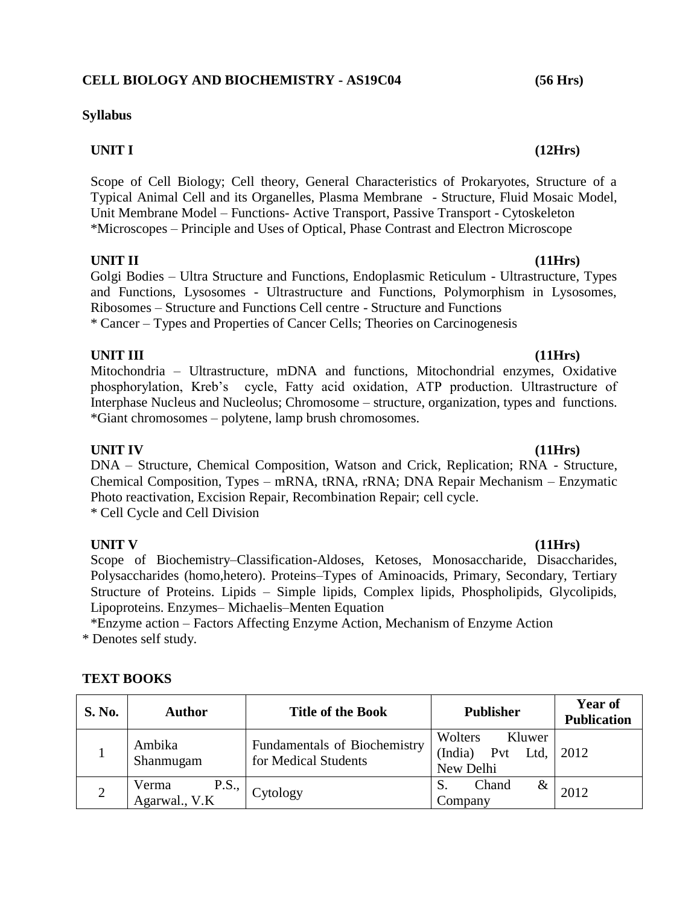# **Syllabus**

# **UNIT I (12Hrs)**

Scope of Cell Biology; Cell theory, General Characteristics of Prokaryotes, Structure of a Typical Animal Cell and its Organelles, Plasma Membrane - Structure, Fluid Mosaic Model, Unit Membrane Model – Functions- Active Transport, Passive Transport - Cytoskeleton \*Microscopes – Principle and Uses of Optical, Phase Contrast and Electron Microscope

# **UNIT II (11Hrs)**

Golgi Bodies – Ultra Structure and Functions, Endoplasmic Reticulum - Ultrastructure, Types and Functions, Lysosomes - Ultrastructure and Functions, Polymorphism in Lysosomes, Ribosomes – Structure and Functions Cell centre - Structure and Functions \* Cancer – Types and Properties of Cancer Cells; Theories on Carcinogenesis

# **UNIT III (11Hrs)**

Mitochondria – Ultrastructure, mDNA and functions, Mitochondrial enzymes, Oxidative phosphorylation, Kreb's cycle, Fatty acid oxidation, ATP production. Ultrastructure of Interphase Nucleus and Nucleolus; Chromosome – structure, organization, types and functions. \*Giant chromosomes – polytene, lamp brush chromosomes.

# **UNIT IV (11Hrs)**

DNA – Structure, Chemical Composition, Watson and Crick, Replication; RNA - Structure, Chemical Composition, Types – mRNA, tRNA, rRNA; DNA Repair Mechanism – Enzymatic Photo reactivation, Excision Repair, Recombination Repair; cell cycle. \* Cell Cycle and Cell Division

**UNIT V (11Hrs)** Scope of Biochemistry–Classification-Aldoses, Ketoses, Monosaccharide, Disaccharides, Polysaccharides (homo,hetero). Proteins–Types of Aminoacids, Primary, Secondary, Tertiary Structure of Proteins. Lipids – Simple lipids, Complex lipids, Phospholipids, Glycolipids, Lipoproteins. Enzymes– Michaelis–Menten Equation

\*Enzyme action – Factors Affecting Enzyme Action, Mechanism of Enzyme Action \* Denotes self study.

# **TEXT BOOKS**

| <b>S. No.</b> | <b>Author</b>                          | <b>Title of the Book</b>                                    | <b>Publisher</b>                                         | Year of<br><b>Publication</b> |
|---------------|----------------------------------------|-------------------------------------------------------------|----------------------------------------------------------|-------------------------------|
|               | Ambika<br>Shanmugam                    | <b>Fundamentals of Biochemistry</b><br>for Medical Students | Wolters<br>Kluwer<br>(India)<br>Pvt<br>Ltd.<br>New Delhi | 2012                          |
|               | <b>P.S.,</b><br>Verma<br>Agarwal., V.K | Cytology                                                    | Chand<br>&<br>Company                                    | 2012                          |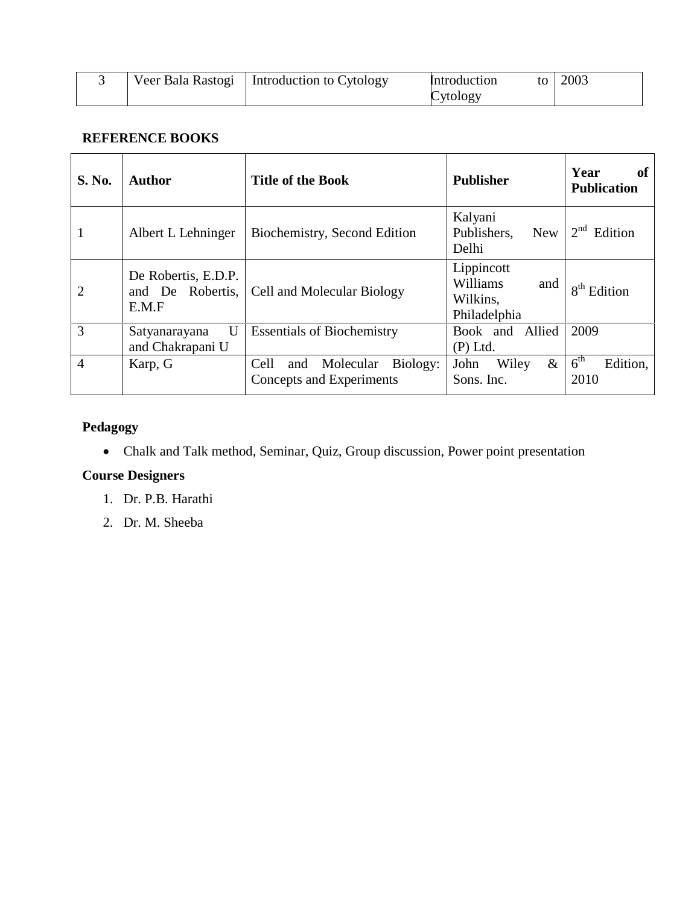|  | Veer Bala Rastogi   Introduction to Cytology | Introduction | to   2003 |
|--|----------------------------------------------|--------------|-----------|
|  |                                              | Cytology     |           |

# **REFERENCE BOOKS**

| <b>S. No.</b>  | <b>Author</b>                                    | <b>Title of the Book</b>                                         | <b>Publisher</b>                                          | Year<br>of<br><b>Publication</b>    |
|----------------|--------------------------------------------------|------------------------------------------------------------------|-----------------------------------------------------------|-------------------------------------|
| 1              | Albert L Lehninger                               | Biochemistry, Second Edition                                     | Kalyani<br>Publishers.<br><b>New</b><br>Delhi             | $2nd$ Edition                       |
| $\overline{2}$ | De Robertis, E.D.P.<br>and De Robertis,<br>E.M.F | Cell and Molecular Biology                                       | Lippincott<br>Williams<br>and<br>Wilkins,<br>Philadelphia | $8th$ Edition                       |
| 3              | $\mathbf U$<br>Satyanarayana<br>and Chakrapani U | <b>Essentials of Biochemistry</b>                                | Book and Allied<br>$(P)$ Ltd.                             | 2009                                |
| $\overline{4}$ | Karp, G                                          | Biology:<br>Molecular<br>Cell<br>and<br>Concepts and Experiments | $\&$<br>Wiley<br>John<br>Sons. Inc.                       | 6 <sup>th</sup><br>Edition,<br>2010 |

# **Pedagogy**

Chalk and Talk method, Seminar, Quiz, Group discussion, Power point presentation

# **Course Designers**

- 1. Dr. P.B. Harathi
- 2. Dr. M. Sheeba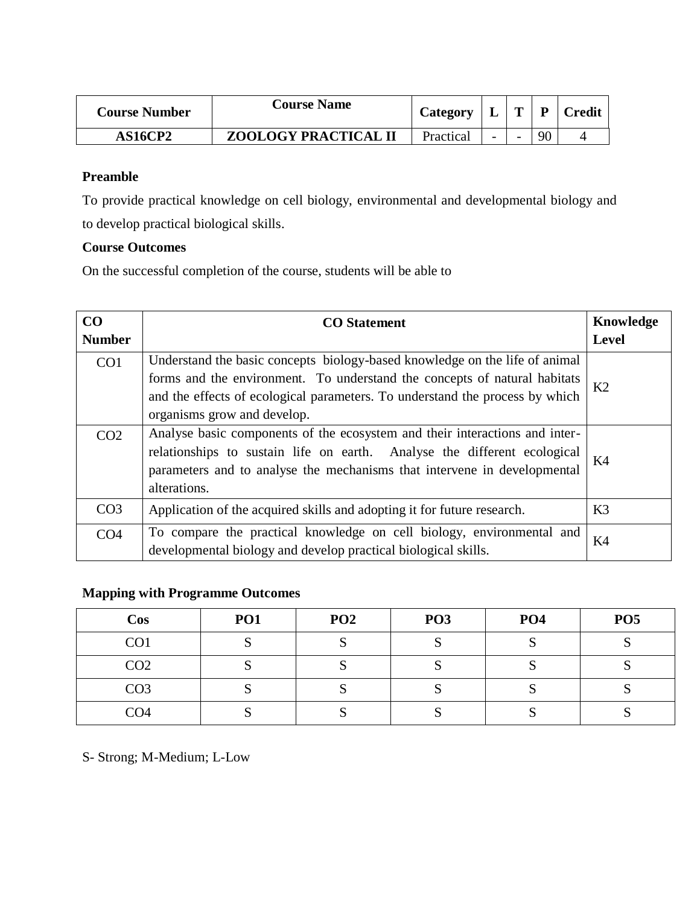| <b>Course Number</b> | <b>Course Name</b>          | Category  |                          | $\mathbf{p}$ | <b>Credit</b> |
|----------------------|-----------------------------|-----------|--------------------------|--------------|---------------|
| <b>AS16CP2</b>       | <b>ZOOLOGY PRACTICAL II</b> | Practical | $\overline{\phantom{0}}$ | 90           |               |

To provide practical knowledge on cell biology, environmental and developmental biology and to develop practical biological skills.

### **Course Outcomes**

On the successful completion of the course, students will be able to

| CO<br><b>Number</b> | <b>CO</b> Statement                                                                                                                                                                                                                                                     | Knowledge<br>Level |
|---------------------|-------------------------------------------------------------------------------------------------------------------------------------------------------------------------------------------------------------------------------------------------------------------------|--------------------|
| CO <sub>1</sub>     | Understand the basic concepts biology-based knowledge on the life of animal<br>forms and the environment. To understand the concepts of natural habitats<br>and the effects of ecological parameters. To understand the process by which<br>organisms grow and develop. | K2                 |
| CO <sub>2</sub>     | Analyse basic components of the ecosystem and their interactions and inter-<br>relationships to sustain life on earth. Analyse the different ecological<br>parameters and to analyse the mechanisms that intervene in developmental<br>alterations.                     | K <sub>4</sub>     |
| CO <sub>3</sub>     | Application of the acquired skills and adopting it for future research.                                                                                                                                                                                                 | K <sub>3</sub>     |
| CO <sub>4</sub>     | To compare the practical knowledge on cell biology, environmental and<br>developmental biology and develop practical biological skills.                                                                                                                                 | K4                 |

# **Mapping with Programme Outcomes**

| <b>Cos</b>      | PO1 | PO <sub>2</sub> | PO <sub>3</sub> | PO <sub>4</sub> | PO <sub>5</sub> |
|-----------------|-----|-----------------|-----------------|-----------------|-----------------|
| CO <sub>1</sub> |     |                 |                 |                 | ∼               |
| CO <sub>2</sub> |     |                 |                 |                 |                 |
| CO <sub>3</sub> |     |                 |                 |                 |                 |
| CO <sub>4</sub> |     |                 |                 |                 |                 |

S- Strong; M-Medium; L-Low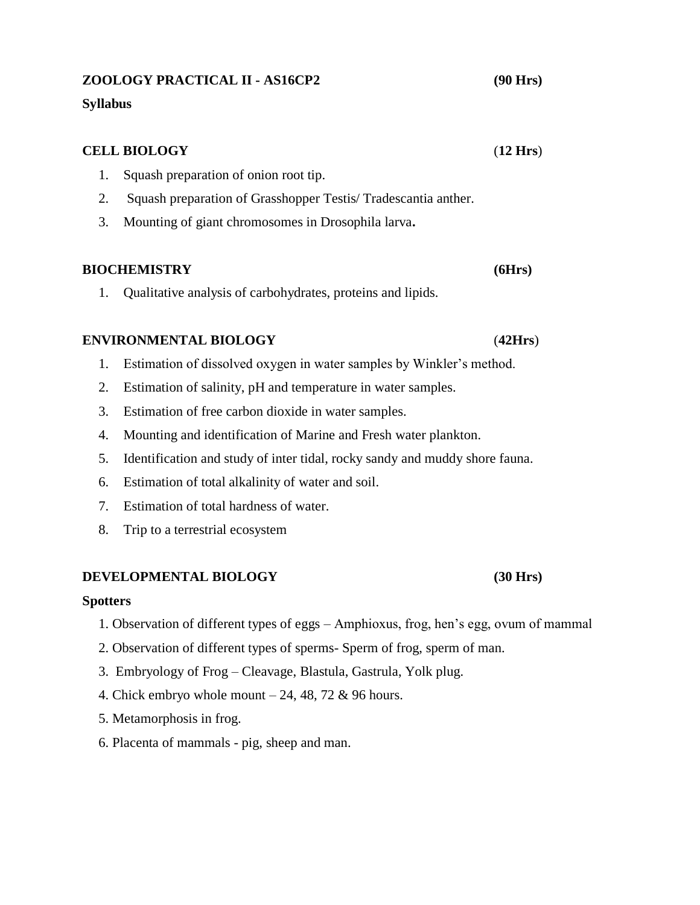### **ZOOLOGY PRACTICAL II - AS16CP2 (90 Hrs)**

#### **Syllabus**

# **CELL BIOLOGY** (**12 Hrs**) 1. Squash preparation of onion root tip. 2. Squash preparation of Grasshopper Testis/ Tradescantia anther. 3. Mounting of giant chromosomes in Drosophila larva**.**

### **BIOCHEMISTRY (6Hrs)**

1. Qualitative analysis of carbohydrates, proteins and lipids.

### **ENVIRONMENTAL BIOLOGY** (**42Hrs**)

- 1. Estimation of dissolved oxygen in water samples by Winkler's method.
- 2. Estimation of salinity, pH and temperature in water samples.
- 3. Estimation of free carbon dioxide in water samples.
- 4. Mounting and identification of Marine and Fresh water plankton.
- 5. Identification and study of inter tidal, rocky sandy and muddy shore fauna.
- 6. Estimation of total alkalinity of water and soil.
- 7. Estimation of total hardness of water.
- 8. Trip to a terrestrial ecosystem

#### **DEVELOPMENTAL BIOLOGY (30 Hrs)**

#### **Spotters**

- 1. Observation of different types of eggs Amphioxus, frog, hen's egg, ovum of mammal
- 2. Observation of different types of sperms- Sperm of frog, sperm of man.
- 3. Embryology of Frog Cleavage, Blastula, Gastrula, Yolk plug.
- 4. Chick embryo whole mount  $-24$ , 48, 72 & 96 hours.
- 5. Metamorphosis in frog.
- 6. Placenta of mammals pig, sheep and man.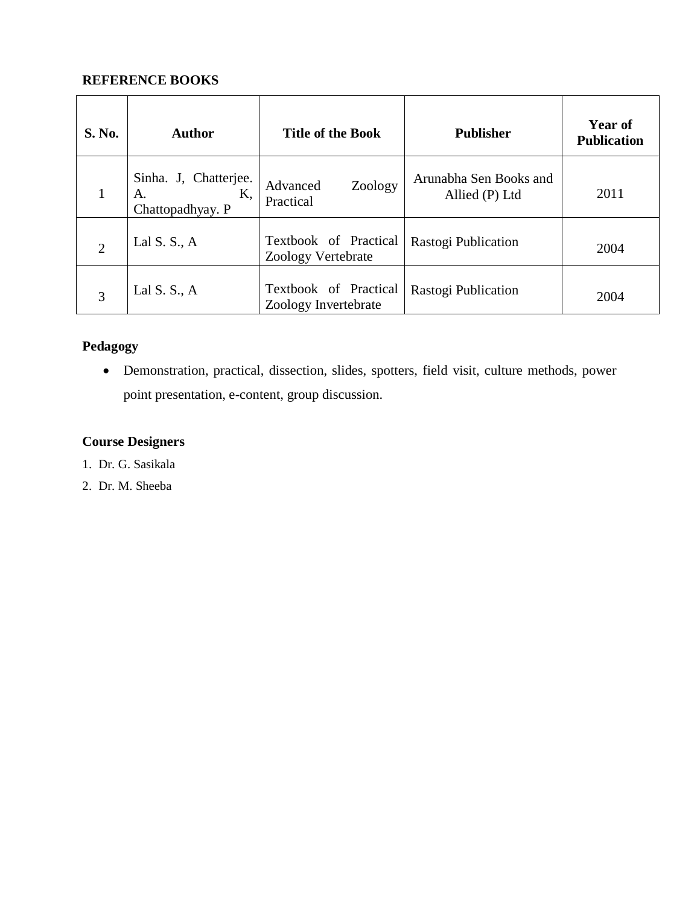# **REFERENCE BOOKS**

| <b>S. No.</b>  | <b>Author</b>                                         | <b>Title of the Book</b>                      | <b>Publisher</b>                         | <b>Year of</b><br><b>Publication</b> |
|----------------|-------------------------------------------------------|-----------------------------------------------|------------------------------------------|--------------------------------------|
| 1              | Sinha. J, Chatterjee.<br>Κ,<br>А.<br>Chattopadhyay. P | Zoology<br>Advanced<br>Practical              | Arunabha Sen Books and<br>Allied (P) Ltd | 2011                                 |
| $\overline{2}$ | Lal S. S., $A$                                        | Textbook of Practical<br>Zoology Vertebrate   | Rastogi Publication                      | 2004                                 |
| 3              | Lal S. S., $A$                                        | Textbook of Practical<br>Zoology Invertebrate | Rastogi Publication                      | 2004                                 |

# **Pedagogy**

 Demonstration, practical, dissection, slides, spotters, field visit, culture methods, power point presentation, e-content, group discussion.

# **Course Designers**

- 1. Dr. G. Sasikala
- 2. Dr. M. Sheeba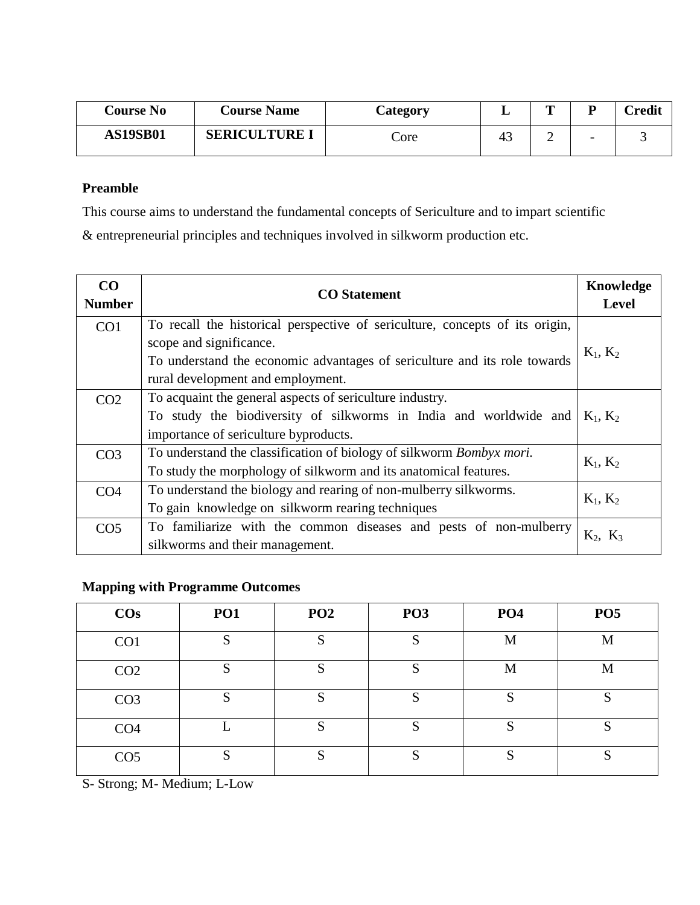| <b>Course No</b> | <b>Course Name</b>   | <b>Category</b> | ┻  | m<br>- |                          | Credit |
|------------------|----------------------|-----------------|----|--------|--------------------------|--------|
| <b>AS19SB01</b>  | <b>SERICULTURE I</b> | Core            | 43 | ∸      | $\overline{\phantom{0}}$ |        |

This course aims to understand the fundamental concepts of Sericulture and to impart scientific

& entrepreneurial principles and techniques involved in silkworm production etc.

| CO<br><b>Number</b> | <b>CO</b> Statement                                                          | Knowledge<br><b>Level</b> |
|---------------------|------------------------------------------------------------------------------|---------------------------|
| CO <sub>1</sub>     | To recall the historical perspective of sericulture, concepts of its origin, |                           |
|                     | scope and significance.                                                      | $K_1, K_2$                |
|                     | To understand the economic advantages of sericulture and its role towards    |                           |
|                     | rural development and employment.                                            |                           |
| CO <sub>2</sub>     | To acquaint the general aspects of sericulture industry.                     |                           |
|                     | To study the biodiversity of silkworms in India and worldwide and            | $K_1, K_2$                |
|                     | importance of sericulture byproducts.                                        |                           |
| CO <sub>3</sub>     | To understand the classification of biology of silkworm Bombyx mori.         | $K_1, K_2$                |
|                     | To study the morphology of silkworm and its anatomical features.             |                           |
| CO <sub>4</sub>     | To understand the biology and rearing of non-mulberry silkworms.             | $K_1, K_2$                |
|                     | To gain knowledge on silkworm rearing techniques                             |                           |
| CO <sub>5</sub>     | To familiarize with the common diseases and pests of non-mulberry            | $K_2, K_3$                |
|                     | silkworms and their management.                                              |                           |

# **Mapping with Programme Outcomes**

| $\cos$          | PO1 | PO <sub>2</sub> | PO <sub>3</sub> | PO <sub>4</sub> | PO <sub>5</sub> |
|-----------------|-----|-----------------|-----------------|-----------------|-----------------|
| CO <sub>1</sub> | S   | S               | S               | M               | M               |
| CO <sub>2</sub> | S   | S               | S               | M               | M               |
| CO <sub>3</sub> | S   | S               | S               | S               | S               |
| CO <sub>4</sub> |     | S               | S               | S               | S               |
| CO <sub>5</sub> | S   | S               | S               | S               | C<br>P          |

S- Strong; M- Medium; L-Low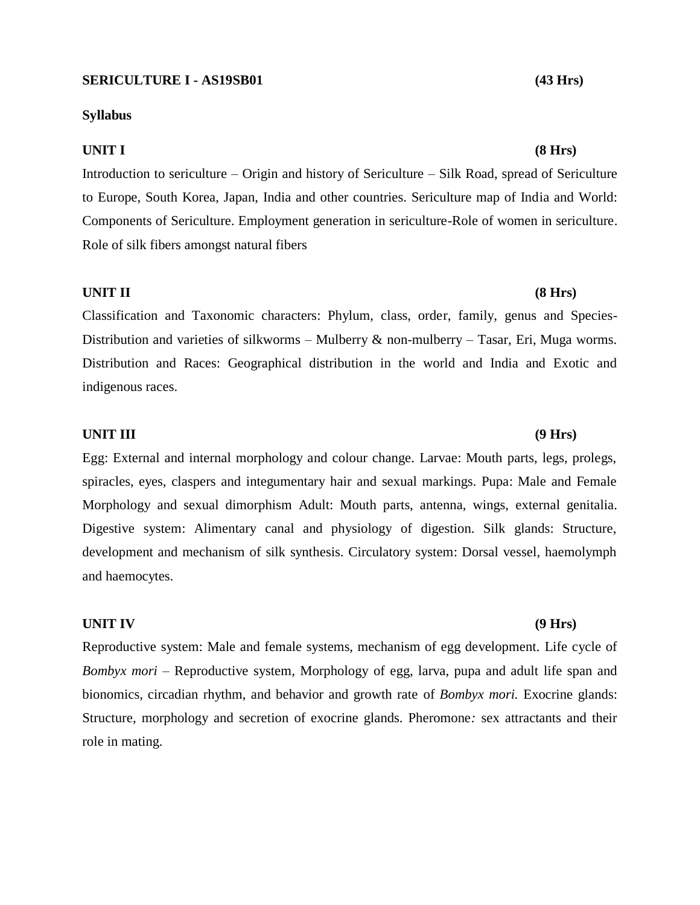#### **SERICULTURE I - AS19SB01 (43 Hrs)**

#### **Syllabus**

#### **UNIT I (8 Hrs)**

Introduction to sericulture – Origin and history of Sericulture – Silk Road, spread of Sericulture to Europe, South Korea, Japan, India and other countries. Sericulture map of India and World: Components of Sericulture. Employment generation in sericulture-Role of women in sericulture. Role of silk fibers amongst natural fibers

#### **UNIT II (8 Hrs)**

Classification and Taxonomic characters: Phylum, class, order, family, genus and Species-Distribution and varieties of silkworms – Mulberry  $\&$  non-mulberry – Tasar, Eri, Muga worms. Distribution and Races: Geographical distribution in the world and India and Exotic and indigenous races.

#### **UNIT III (9 Hrs)**

Egg: External and internal morphology and colour change. Larvae: Mouth parts, legs, prolegs, spiracles, eyes, claspers and integumentary hair and sexual markings. Pupa: Male and Female Morphology and sexual dimorphism Adult: Mouth parts, antenna, wings, external genitalia. Digestive system: Alimentary canal and physiology of digestion. Silk glands: Structure, development and mechanism of silk synthesis. Circulatory system: Dorsal vessel, haemolymph and haemocytes.

#### **UNIT IV (9 Hrs)**

Reproductive system: Male and female systems, mechanism of egg development. Life cycle of *Bombyx mori* – Reproductive system, Morphology of egg, larva, pupa and adult life span and bionomics, circadian rhythm, and behavior and growth rate of *Bombyx mori.* Exocrine glands: Structure, morphology and secretion of exocrine glands. Pheromone*:* sex attractants and their role in mating.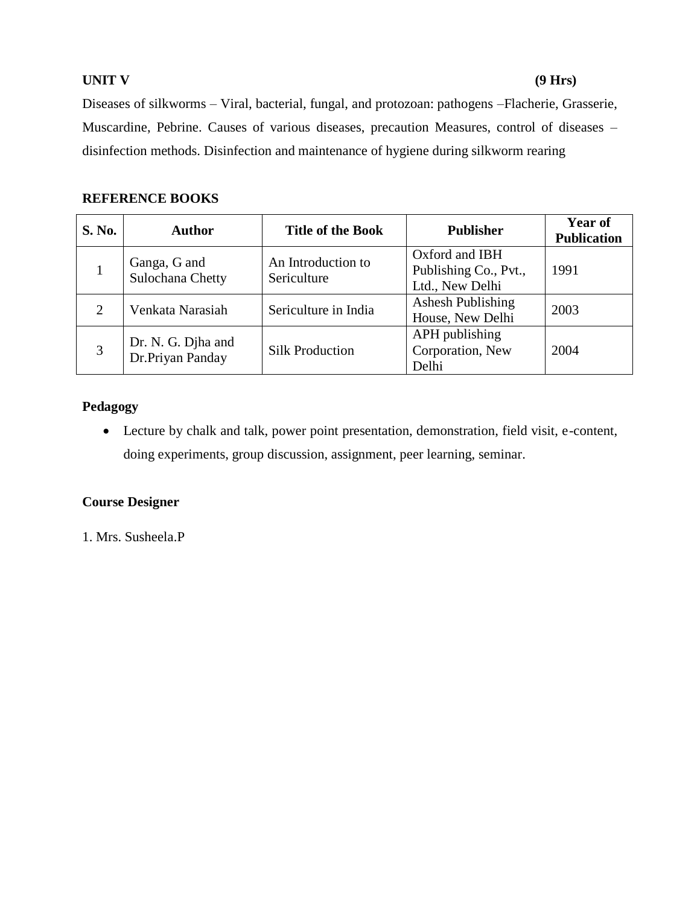#### **UNIT V (9 Hrs)**

Diseases of silkworms – Viral, bacterial, fungal, and protozoan: pathogens –Flacherie, Grasserie, Muscardine, Pebrine. Causes of various diseases, precaution Measures, control of diseases – disinfection methods. Disinfection and maintenance of hygiene during silkworm rearing

# **REFERENCE BOOKS**

| <b>S. No.</b> | <b>Author</b>                          | <b>Title of the Book</b>          | <b>Publisher</b>                                           | Year of<br><b>Publication</b> |
|---------------|----------------------------------------|-----------------------------------|------------------------------------------------------------|-------------------------------|
|               | Ganga, G and<br>Sulochana Chetty       | An Introduction to<br>Sericulture | Oxford and IBH<br>Publishing Co., Pvt.,<br>Ltd., New Delhi | 1991                          |
| 2             | Venkata Narasiah                       | Sericulture in India              | Ashesh Publishing<br>House, New Delhi                      | 2003                          |
| 3             | Dr. N. G. Djha and<br>Dr.Priyan Panday | <b>Silk Production</b>            | APH publishing<br>Corporation, New<br>Delhi                | 2004                          |

### **Pedagogy**

 Lecture by chalk and talk, power point presentation, demonstration, field visit, e-content, doing experiments, group discussion, assignment, peer learning, seminar.

### **Course Designer**

1. Mrs. Susheela.P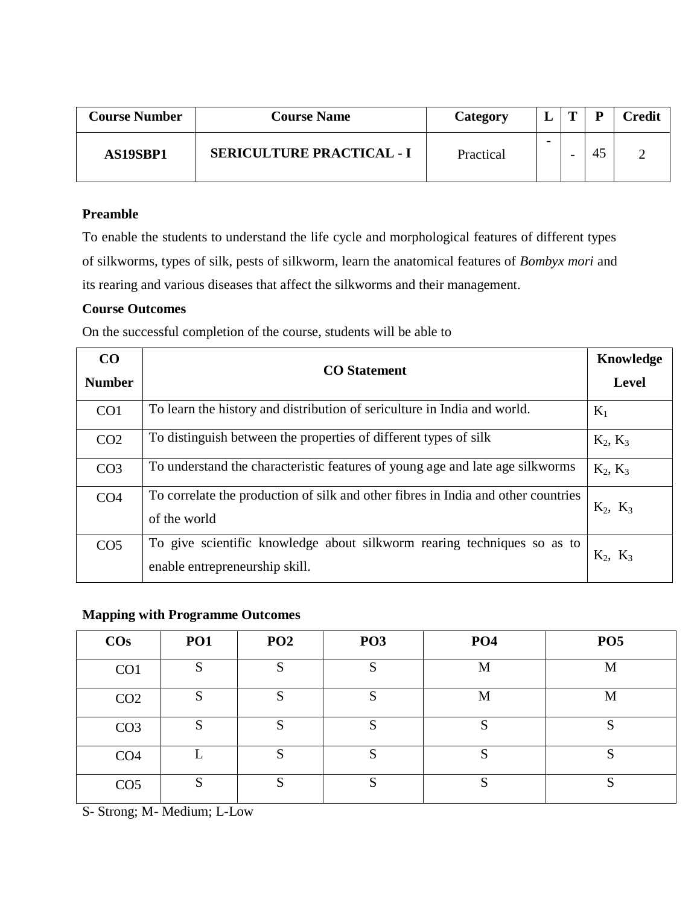| <b>Course Number</b> | <b>Course Name</b>               | Category  |  | D  | <b>Credit</b> |
|----------------------|----------------------------------|-----------|--|----|---------------|
| AS19SBP1             | <b>SERICULTURE PRACTICAL - I</b> | Practical |  | 45 |               |

To enable the students to understand the life cycle and morphological features of different types of silkworms, types of silk, pests of silkworm, learn the anatomical features of *Bombyx mori* and its rearing and various diseases that affect the silkworms and their management.

### **Course Outcomes**

On the successful completion of the course, students will be able to

| CO<br><b>Number</b> | <b>CO</b> Statement                                                                                       | Knowledge<br><b>Level</b> |
|---------------------|-----------------------------------------------------------------------------------------------------------|---------------------------|
| CO <sub>1</sub>     | To learn the history and distribution of sericulture in India and world.                                  | $K_1$                     |
| CO <sub>2</sub>     | To distinguish between the properties of different types of silk                                          | $K_2, K_3$                |
| CO <sub>3</sub>     | To understand the characteristic features of young age and late age silkworms                             | $K_2, K_3$                |
| CO <sub>4</sub>     | To correlate the production of silk and other fibres in India and other countries<br>of the world         | $K_2, K_3$                |
| CO <sub>5</sub>     | To give scientific knowledge about silkworm rearing techniques so as to<br>enable entrepreneurship skill. | $K_2$ , $K_3$             |

### **Mapping with Programme Outcomes**

| $\cos$          | PO1     | PO <sub>2</sub> | PO <sub>3</sub> | PO <sub>4</sub> | PO <sub>5</sub> |
|-----------------|---------|-----------------|-----------------|-----------------|-----------------|
| CO <sub>1</sub> | S       | S               | C<br>N          | M               | M               |
| CO <sub>2</sub> | ຕ<br>D. | C<br>G          | M               | M               | M               |
| CO <sub>3</sub> | S       | S               | $\mathbf{C}$    | c               | S               |
| CO <sub>4</sub> |         | S               | o               |                 | S               |
| CO <sub>5</sub> | S       | S               | C               | $\mathbf{C}$    | S               |

S- Strong; M- Medium; L-Low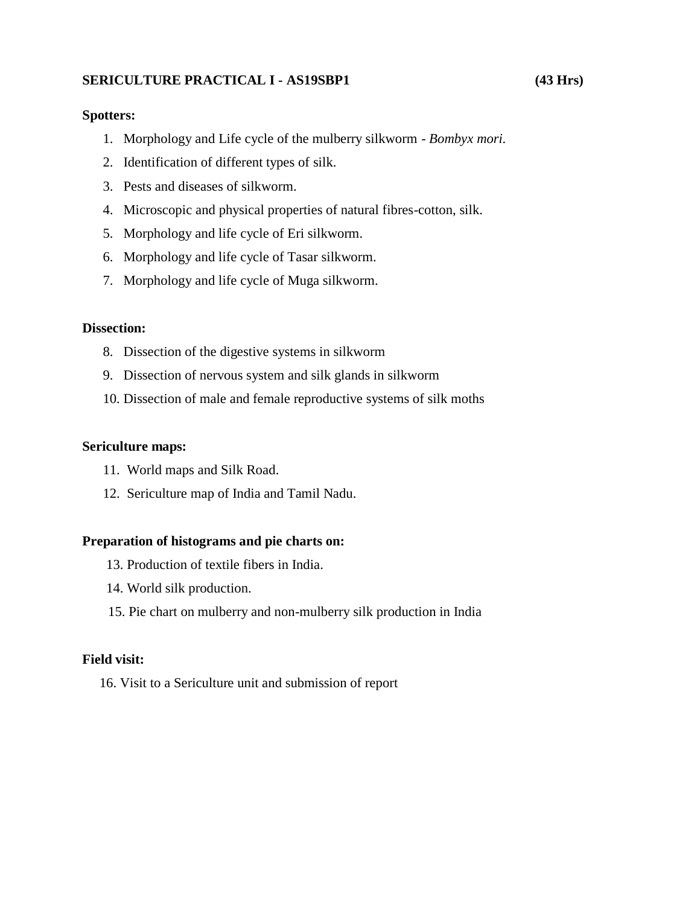### **SERICULTURE PRACTICAL I - AS19SBP1 (43 Hrs)**

#### **Spotters:**

- 1. Morphology and Life cycle of the mulberry silkworm *Bombyx mori.*
- 2. Identification of different types of silk.
- 3. Pests and diseases of silkworm.
- 4. Microscopic and physical properties of natural fibres-cotton, silk.
- 5. Morphology and life cycle of Eri silkworm.
- 6. Morphology and life cycle of Tasar silkworm.
- 7. Morphology and life cycle of Muga silkworm.

#### **Dissection:**

- 8. Dissection of the digestive systems in silkworm
- 9. Dissection of nervous system and silk glands in silkworm
- 10. Dissection of male and female reproductive systems of silk moths

#### **Sericulture maps:**

- 11. World maps and Silk Road.
- 12. Sericulture map of India and Tamil Nadu.

#### **Preparation of histograms and pie charts on:**

- 13. Production of textile fibers in India.
- 14. World silk production.
- 15. Pie chart on mulberry and non-mulberry silk production in India

#### **Field visit:**

16. Visit to a Sericulture unit and submission of report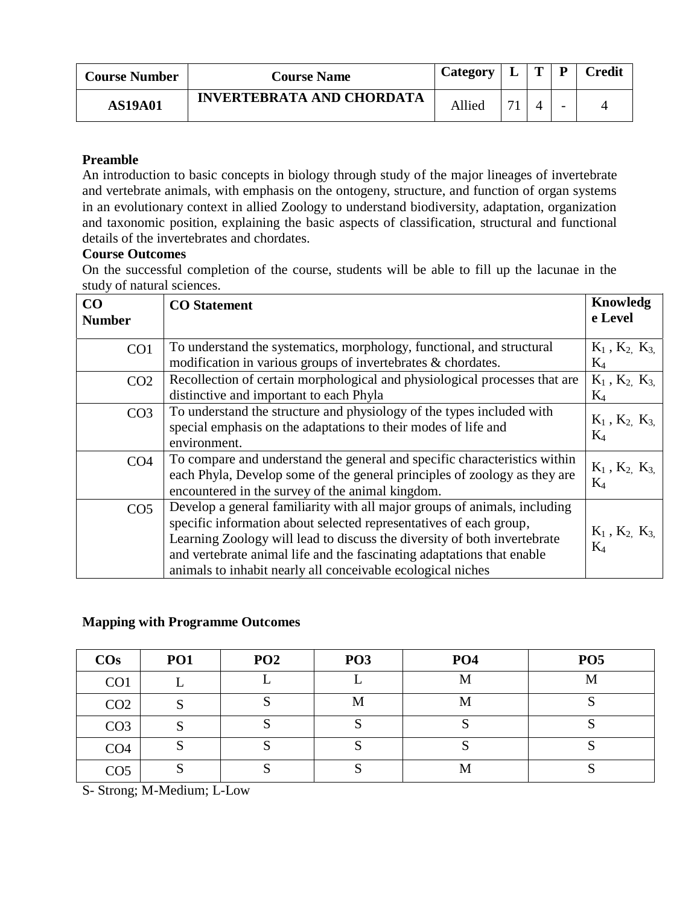| <b>Course Number</b> | <b>Course Name</b>               | Category |    | m |                          | <b>Credit</b> |
|----------------------|----------------------------------|----------|----|---|--------------------------|---------------|
| <b>AS19A01</b>       | <b>INVERTEBRATA AND CHORDATA</b> | Allied   | 71 |   | $\overline{\phantom{0}}$ |               |

An introduction to basic concepts in biology through study of the major lineages of invertebrate and vertebrate animals, with emphasis on the ontogeny, structure, and function of organ systems in an evolutionary context in allied Zoology to understand biodiversity, adaptation, organization and taxonomic position, explaining the basic aspects of classification, structural and functional details of the invertebrates and chordates.

### **Course Outcomes**

On the successful completion of the course, students will be able to fill up the lacunae in the study of natural sciences.

| CO              | <b>CO</b> Statement                                                        | Knowledg                       |
|-----------------|----------------------------------------------------------------------------|--------------------------------|
| <b>Number</b>   |                                                                            | e Level                        |
|                 |                                                                            |                                |
| CO1             | To understand the systematics, morphology, functional, and structural      | $K_1$ , $K_2$ , $K_3$          |
|                 | modification in various groups of invertebrates & chordates.               | $K_4$                          |
| CO <sub>2</sub> | Recollection of certain morphological and physiological processes that are | $K_1$ , $K_2$ , $K_3$          |
|                 | distinctive and important to each Phyla                                    | $K_4$                          |
| CO <sub>3</sub> | To understand the structure and physiology of the types included with      | $K_1$ , $K_2$ , $K_3$          |
|                 | special emphasis on the adaptations to their modes of life and             | $K_4$                          |
|                 | environment.                                                               |                                |
| CO <sub>4</sub> | To compare and understand the general and specific characteristics within  |                                |
|                 | each Phyla, Develop some of the general principles of zoology as they are  | $K_1$ , $K_2$ , $K_3$<br>$K_4$ |
|                 | encountered in the survey of the animal kingdom.                           |                                |
| CO <sub>5</sub> | Develop a general familiarity with all major groups of animals, including  |                                |
|                 | specific information about selected representatives of each group,         |                                |
|                 | Learning Zoology will lead to discuss the diversity of both invertebrate   | $K_1$ , $K_2$ , $K_3$<br>$K_4$ |
|                 | and vertebrate animal life and the fascinating adaptations that enable     |                                |
|                 | animals to inhabit nearly all conceivable ecological niches                |                                |

#### **Mapping with Programme Outcomes**

| $\cos$          | PO1 | PO <sub>2</sub> | PO <sub>3</sub> | PO <sub>4</sub> | PO <sub>5</sub> |
|-----------------|-----|-----------------|-----------------|-----------------|-----------------|
| CO <sub>1</sub> |     |                 |                 | M               | M               |
| CO <sub>2</sub> |     | $\sim$          | M               | M               |                 |
| CO <sub>3</sub> |     |                 | C               |                 |                 |
| CO <sub>4</sub> |     |                 |                 |                 |                 |
| CO <sub>5</sub> |     |                 |                 | M               |                 |

S- Strong; M-Medium; L-Low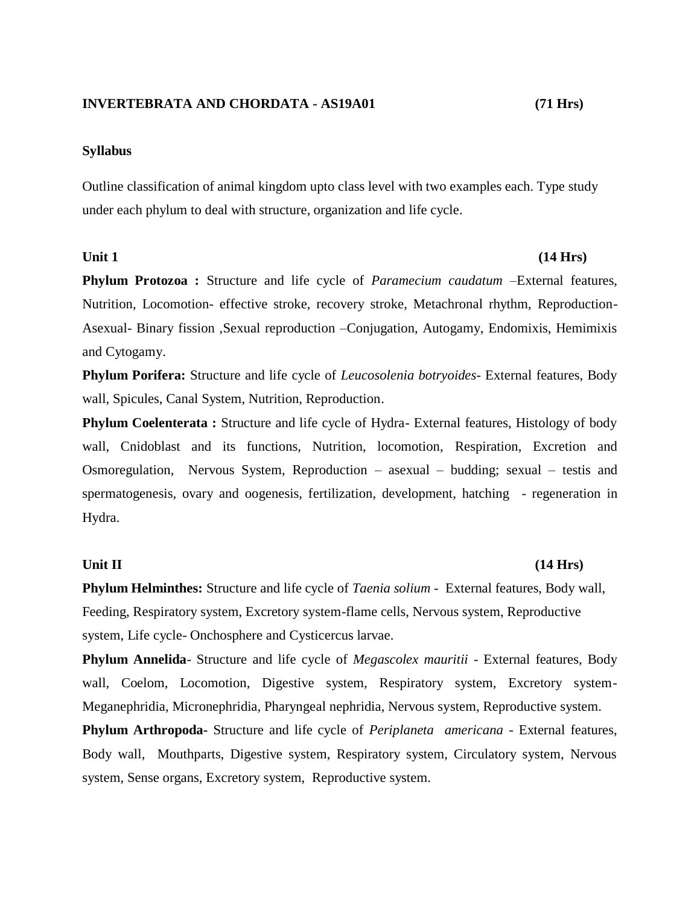#### **INVERTEBRATA AND CHORDATA - AS19A01 (71 Hrs)**

#### **Syllabus**

Outline classification of animal kingdom upto class level with two examples each. Type study under each phylum to deal with structure, organization and life cycle.

#### Unit 1 (14 Hrs)

**Phylum Protozoa :** Structure and life cycle of *Paramecium caudatum* –External features, Nutrition, Locomotion- effective stroke, recovery stroke, Metachronal rhythm, Reproduction-Asexual- Binary fission ,Sexual reproduction –Conjugation, Autogamy, Endomixis, Hemimixis and Cytogamy.

**Phylum Porifera:** Structure and life cycle of *Leucosolenia botryoides*- External features, Body wall, Spicules, Canal System, Nutrition, Reproduction.

**Phylum Coelenterata :** Structure and life cycle of Hydra- External features, Histology of body wall, Cnidoblast and its functions, Nutrition, locomotion, Respiration, Excretion and Osmoregulation, Nervous System, Reproduction – asexual – budding; sexual – testis and spermatogenesis, ovary and oogenesis, fertilization, development, hatching - regeneration in Hydra.

#### **Unit II (14 Hrs)**

**Phylum Helminthes:** Structure and life cycle of *Taenia solium -* External features, Body wall, Feeding, Respiratory system, Excretory system-flame cells, Nervous system, Reproductive system, Life cycle- Onchosphere and Cysticercus larvae.

**Phylum Annelida**- Structure and life cycle of *Megascolex mauritii* - External features, Body wall, Coelom, Locomotion, Digestive system, Respiratory system, Excretory system-Meganephridia, Micronephridia, Pharyngeal nephridia, Nervous system, Reproductive system.

**Phylum Arthropoda-** Structure and life cycle of *Periplaneta americana -* External features, Body wall, Mouthparts, Digestive system, Respiratory system, Circulatory system, Nervous system, Sense organs, Excretory system, Reproductive system.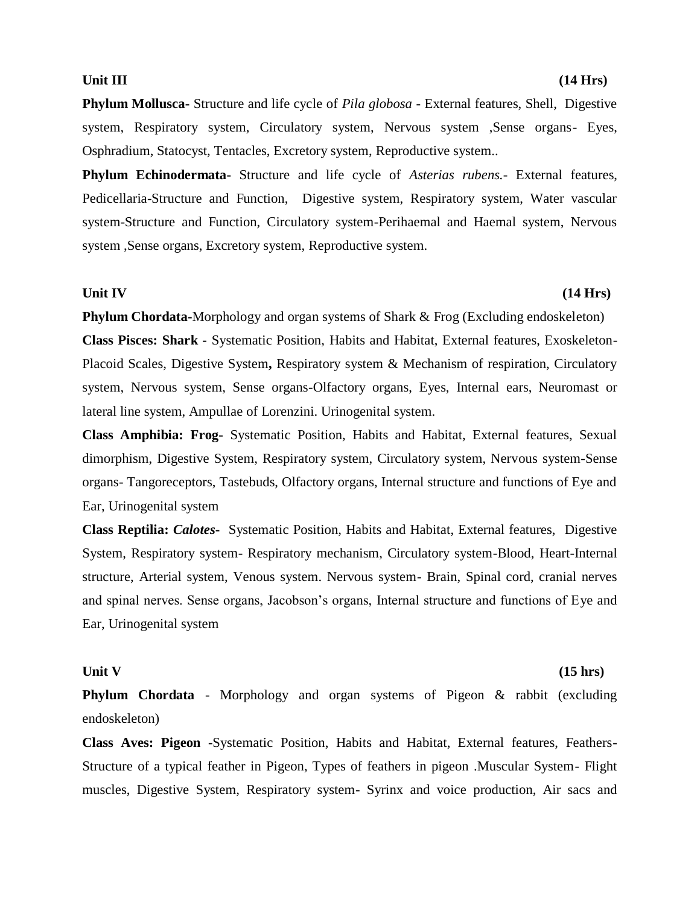**Phylum Mollusca-** Structure and life cycle of *Pila globosa -* External features, Shell, Digestive system, Respiratory system, Circulatory system, Nervous system ,Sense organs- Eyes, Osphradium, Statocyst, Tentacles, Excretory system, Reproductive system..

**Phylum Echinodermata-** Structure and life cycle of *Asterias rubens.*- External features, Pedicellaria-Structure and Function, Digestive system, Respiratory system, Water vascular system-Structure and Function, Circulatory system-Perihaemal and Haemal system, Nervous system ,Sense organs, Excretory system, Reproductive system.

#### **Unit IV (14 Hrs)**

**Phylum Chordata-**Morphology and organ systems of Shark & Frog (Excluding endoskeleton) **Class Pisces: Shark -** Systematic Position, Habits and Habitat, External features, Exoskeleton-Placoid Scales, Digestive System**,** Respiratory system & Mechanism of respiration, Circulatory system, Nervous system, Sense organs-Olfactory organs, Eyes, Internal ears, Neuromast or lateral line system, Ampullae of Lorenzini. Urinogenital system.

**Class Amphibia: Frog-** Systematic Position, Habits and Habitat, External features, Sexual dimorphism, Digestive System, Respiratory system, Circulatory system, Nervous system-Sense organs- Tangoreceptors, Tastebuds, Olfactory organs, Internal structure and functions of Eye and Ear, Urinogenital system

**Class Reptilia:** *Calotes***-** Systematic Position, Habits and Habitat, External features, Digestive System, Respiratory system- Respiratory mechanism, Circulatory system-Blood, Heart-Internal structure, Arterial system, Venous system. Nervous system- Brain, Spinal cord, cranial nerves and spinal nerves. Sense organs, Jacobson's organs, Internal structure and functions of Eye and Ear, Urinogenital system

#### Unit V (15 hrs)

**Phylum Chordata** - Morphology and organ systems of Pigeon & rabbit (excluding endoskeleton)

**Class Aves: Pigeon** -Systematic Position, Habits and Habitat, External features, Feathers-Structure of a typical feather in Pigeon, Types of feathers in pigeon .Muscular System- Flight muscles, Digestive System, Respiratory system- Syrinx and voice production, Air sacs and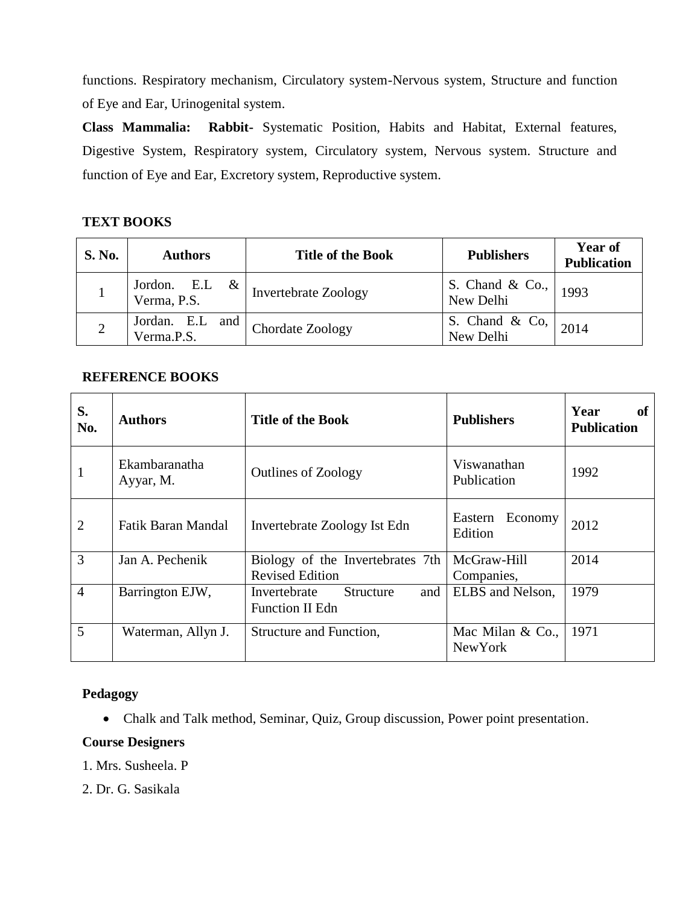functions. Respiratory mechanism, Circulatory system-Nervous system, Structure and function of Eye and Ear, Urinogenital system.

**Class Mammalia: Rabbit-** Systematic Position, Habits and Habitat, External features, Digestive System, Respiratory system, Circulatory system, Nervous system. Structure and function of Eye and Ear, Excretory system, Reproductive system.

# **TEXT BOOKS**

| <b>S. No.</b> | <b>Authors</b>                     | <b>Title of the Book</b>    | <b>Publishers</b>               | Year of<br><b>Publication</b> |
|---------------|------------------------------------|-----------------------------|---------------------------------|-------------------------------|
|               | $\&$<br>Jordon. E.L<br>Verma, P.S. | <b>Invertebrate Zoology</b> | S. Chand $\&$ Co.,<br>New Delhi | 1993                          |
|               | Jordan. E.L<br>and<br>Verma.P.S.   | Chordate Zoology            | S. Chand & Co,<br>New Delhi     | 2014                          |

### **REFERENCE BOOKS**

| S.<br>No.      | <b>Authors</b>             | <b>Title of the Book</b>                                          | <b>Publishers</b>                     | of<br>Year<br><b>Publication</b> |
|----------------|----------------------------|-------------------------------------------------------------------|---------------------------------------|----------------------------------|
| 1              | Ekambaranatha<br>Ayyar, M. | <b>Outlines of Zoology</b>                                        | Viswanathan<br>Publication            | 1992                             |
| $\overline{2}$ | <b>Fatik Baran Mandal</b>  | Invertebrate Zoology Ist Edn                                      | Eastern Economy<br>Edition            | 2012                             |
| 3              | Jan A. Pechenik            | Biology of the Invertebrates 7th<br><b>Revised Edition</b>        | McGraw-Hill<br>Companies,             | 2014                             |
| $\overline{4}$ | Barrington EJW,            | and<br>Invertebrate<br><b>Structure</b><br><b>Function II Edn</b> | ELBS and Nelson,                      | 1979                             |
| 5              | Waterman, Allyn J.         | Structure and Function,                                           | Mac Milan $& Co.,$<br><b>New York</b> | 1971                             |

### **Pedagogy**

Chalk and Talk method, Seminar, Quiz, Group discussion, Power point presentation.

#### **Course Designers**

- 1. Mrs. Susheela. P
- 2. Dr. G. Sasikala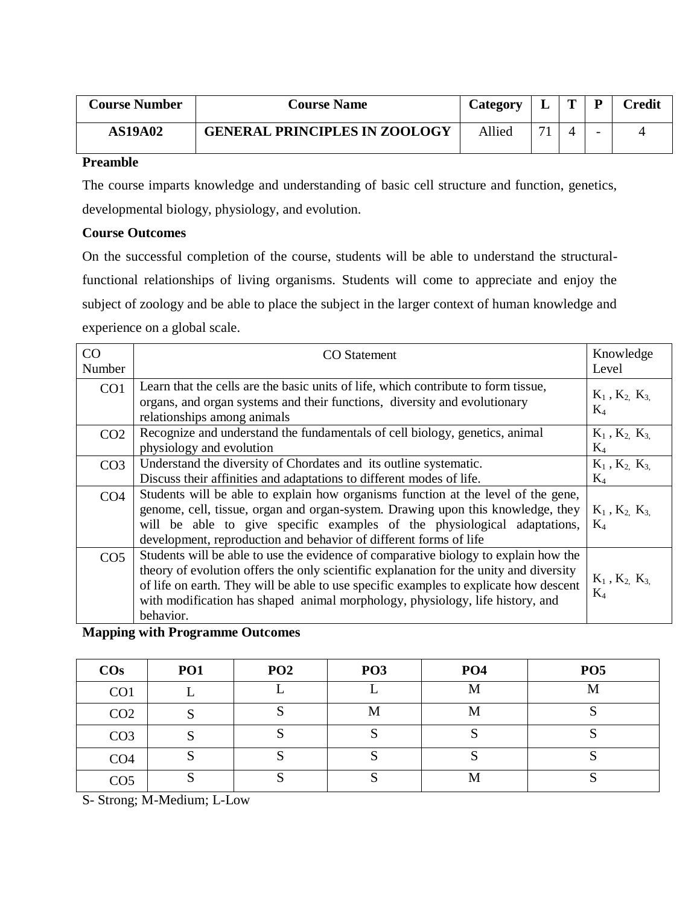| <b>Course Number</b> | <b>Course Name</b>                   | Category |              | D | <b>Credit</b> |
|----------------------|--------------------------------------|----------|--------------|---|---------------|
| <b>AS19A02</b>       | <b>GENERAL PRINCIPLES IN ZOOLOGY</b> | Allied   | $\mathbf{r}$ | - |               |

The course imparts knowledge and understanding of basic cell structure and function, genetics, developmental biology, physiology, and evolution.

### **Course Outcomes**

On the successful completion of the course, students will be able to understand the structuralfunctional relationships of living organisms. Students will come to appreciate and enjoy the subject of zoology and be able to place the subject in the larger context of human knowledge and experience on a global scale.

| CO<br>Number    | <b>CO</b> Statement                                                                                                                                                                                                                                                                                                                                                  | Knowledge<br>Level               |
|-----------------|----------------------------------------------------------------------------------------------------------------------------------------------------------------------------------------------------------------------------------------------------------------------------------------------------------------------------------------------------------------------|----------------------------------|
| CO <sub>1</sub> | Learn that the cells are the basic units of life, which contribute to form tissue,<br>organs, and organ systems and their functions, diversity and evolutionary<br>relationships among animals                                                                                                                                                                       | $K_1$ , $K_2$ , $K_3$<br>$K_4$   |
| CO <sub>2</sub> | Recognize and understand the fundamentals of cell biology, genetics, animal<br>physiology and evolution                                                                                                                                                                                                                                                              | $K_1$ , $K_2$ , $K_3$<br>$K_4$   |
| CO <sub>3</sub> | Understand the diversity of Chordates and its outline systematic.<br>Discuss their affinities and adaptations to different modes of life.                                                                                                                                                                                                                            | $K_1$ , $K_2$ , $K_3$<br>$K_4$   |
| CO <sub>4</sub> | Students will be able to explain how organisms function at the level of the gene,<br>genome, cell, tissue, organ and organ-system. Drawing upon this knowledge, they<br>will be able to give specific examples of the physiological adaptations,<br>development, reproduction and behavior of different forms of life                                                | $K_1$ , $K_2$ , $K_3$<br>$K_4$   |
| CO <sub>5</sub> | Students will be able to use the evidence of comparative biology to explain how the<br>theory of evolution offers the only scientific explanation for the unity and diversity<br>of life on earth. They will be able to use specific examples to explicate how descent<br>with modification has shaped animal morphology, physiology, life history, and<br>behavior. | $K_1$ , $K_2$ , $K_3$ ,<br>$K_4$ |

**Mapping with Programme Outcomes**

| $\cos$          | <b>PO1</b> | PO <sub>2</sub> | PO <sub>3</sub> | PO <sub>4</sub> | PO <sub>5</sub> |
|-----------------|------------|-----------------|-----------------|-----------------|-----------------|
| CO <sub>1</sub> |            |                 |                 | M               | M               |
| CO <sub>2</sub> |            |                 | M               | M               |                 |
| CO <sub>3</sub> |            |                 | ື               |                 |                 |
| CO <sub>4</sub> |            |                 |                 |                 |                 |
| CO <sub>5</sub> |            |                 |                 | M               |                 |

S- Strong; M-Medium; L-Low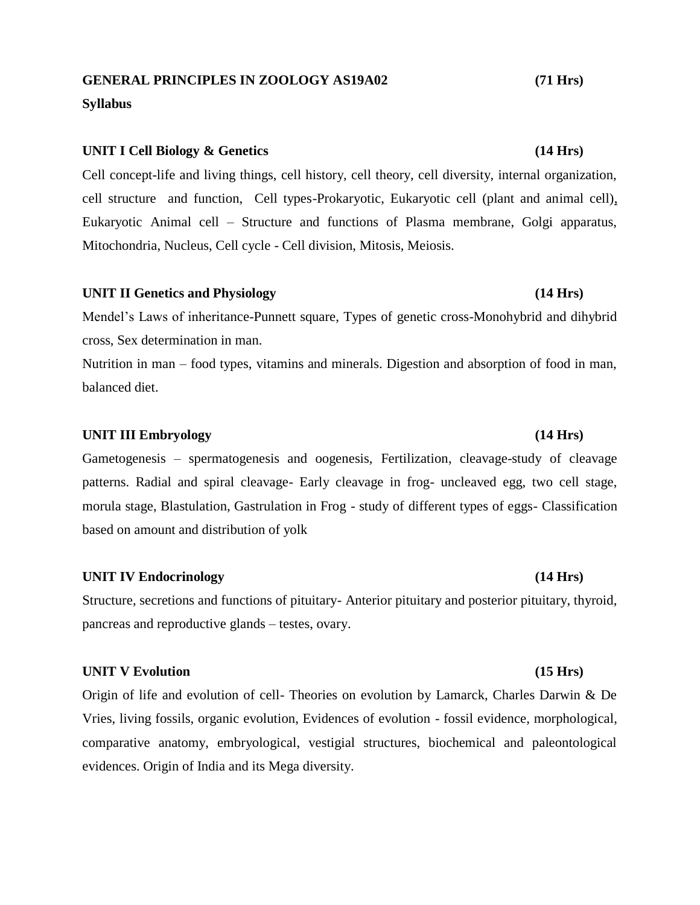# **GENERAL PRINCIPLES IN ZOOLOGY AS19A02 (71 Hrs)**

#### **Syllabus**

#### **UNIT I Cell Biology & Genetics (14 Hrs)**

Cell concept-life and living things, cell history, cell theory, cell diversity, internal organization, cell structure and function, Cell types-Prokaryotic, Eukaryotic cell (plant and animal cell), Eukaryotic Animal cell – Structure and functions of Plasma membrane, Golgi apparatus, Mitochondria, Nucleus, Cell cycle - Cell division, Mitosis, Meiosis.

#### **UNIT II Genetics and Physiology (14 Hrs)**

Mendel's Laws of inheritance-Punnett square, Types of genetic cross-Monohybrid and dihybrid cross, Sex determination in man.

Nutrition in man – food types, vitamins and minerals. Digestion and absorption of food in man, balanced diet.

### **UNIT III Embryology (14 Hrs)**

Gametogenesis – spermatogenesis and oogenesis, Fertilization, cleavage-study of cleavage patterns. Radial and spiral cleavage- Early cleavage in frog- uncleaved egg, two cell stage, morula stage, Blastulation, Gastrulation in Frog - study of different types of eggs- Classification based on amount and distribution of yolk

#### **UNIT IV Endocrinology (14 Hrs)**

Structure, secretions and functions of pituitary- Anterior pituitary and posterior pituitary, thyroid, pancreas and reproductive glands – testes, ovary.

#### **UNIT V Evolution (15 Hrs)**

Origin of life and evolution of cell- Theories on evolution by Lamarck, Charles Darwin & De Vries, living fossils, organic evolution, Evidences of evolution - fossil evidence, morphological, comparative anatomy, embryological, vestigial structures, biochemical and paleontological evidences. Origin of India and its Mega diversity.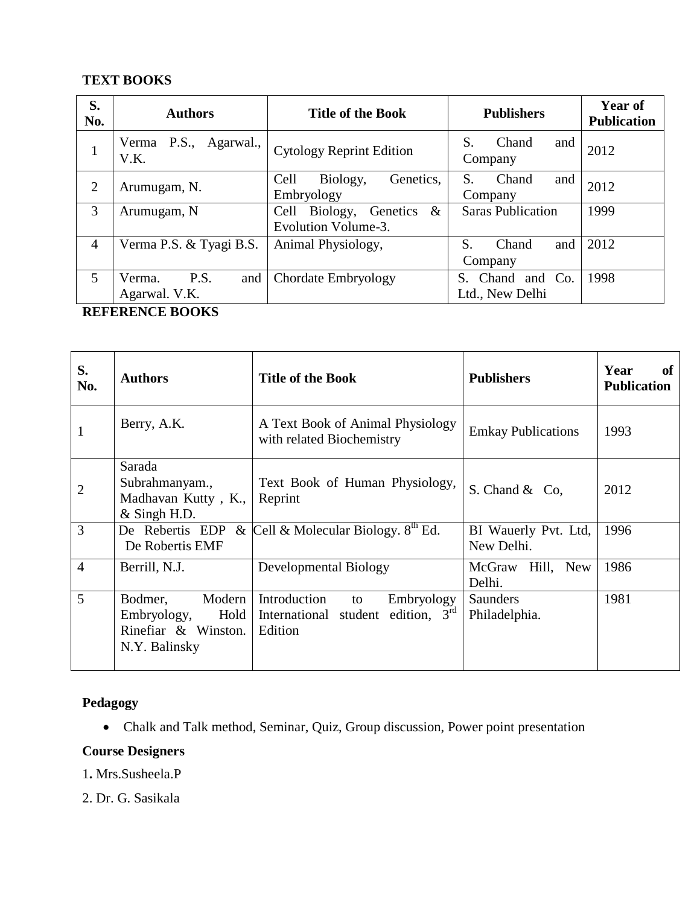# **TEXT BOOKS**

| S.<br>No.      | <b>Authors</b>                         | <b>Title of the Book</b>                                    | <b>Publishers</b>                      | Year of<br><b>Publication</b> |
|----------------|----------------------------------------|-------------------------------------------------------------|----------------------------------------|-------------------------------|
| T              | Verma P.S., Agarwal.,<br>V.K.          | <b>Cytology Reprint Edition</b>                             | S.<br>Chand<br>and<br>Company          | 2012                          |
| $\overline{2}$ | Arumugam, N.                           | Cell<br>Biology,<br>Genetics,<br>Embryology                 | S.<br>Chand<br>and<br>Company          | 2012                          |
| 3              | Arumugam, N                            | $\&$<br>Genetics<br>Biology,<br>Cell<br>Evolution Volume-3. | <b>Saras Publication</b>               | 1999                          |
| $\overline{4}$ | Verma P.S. & Tyagi B.S.                | Animal Physiology,                                          | S.<br>and<br>Chand<br>Company          | 2012                          |
| $\mathfrak{S}$ | P.S.<br>Verma.<br>and<br>Agarwal. V.K. | Chordate Embryology                                         | Chand and Co.<br>S.<br>Ltd., New Delhi | 1998                          |

# **REFERENCE BOOKS**

| S.<br>No.      | <b>Authors</b>                                                                   | <b>Title of the Book</b>                                                            | <b>Publishers</b>                  | <b>of</b><br>Year<br><b>Publication</b> |
|----------------|----------------------------------------------------------------------------------|-------------------------------------------------------------------------------------|------------------------------------|-----------------------------------------|
| 1              | Berry, A.K.                                                                      | A Text Book of Animal Physiology<br>with related Biochemistry                       | <b>Emkay Publications</b>          | 1993                                    |
| $\overline{2}$ | Sarada<br>Subrahmanyam.,<br>Madhavan Kutty, K.,<br>$&$ Singh H.D.                | Text Book of Human Physiology,<br>Reprint                                           | S. Chand & Co,                     | 2012                                    |
| 3              | De Robertis EMF                                                                  | De Rebertis EDP & Cell & Molecular Biology. $8^{th}$ Ed.                            | BI Wauerly Pvt. Ltd,<br>New Delhi. | 1996                                    |
| $\overline{4}$ | Berrill, N.J.                                                                    | Developmental Biology                                                               | McGraw Hill, New<br>Delhi.         | 1986                                    |
| 5              | Bodmer,<br>Modern<br>Embryology,<br>Hold<br>Rinefiar & Winston.<br>N.Y. Balinsky | Introduction<br>Embryology<br>to<br>International student edition, $3rd$<br>Edition | <b>Saunders</b><br>Philadelphia.   | 1981                                    |

# **Pedagogy**

Chalk and Talk method, Seminar, Quiz, Group discussion, Power point presentation

# **Course Designers**

1**.** Mrs.Susheela.P

2. Dr. G. Sasikala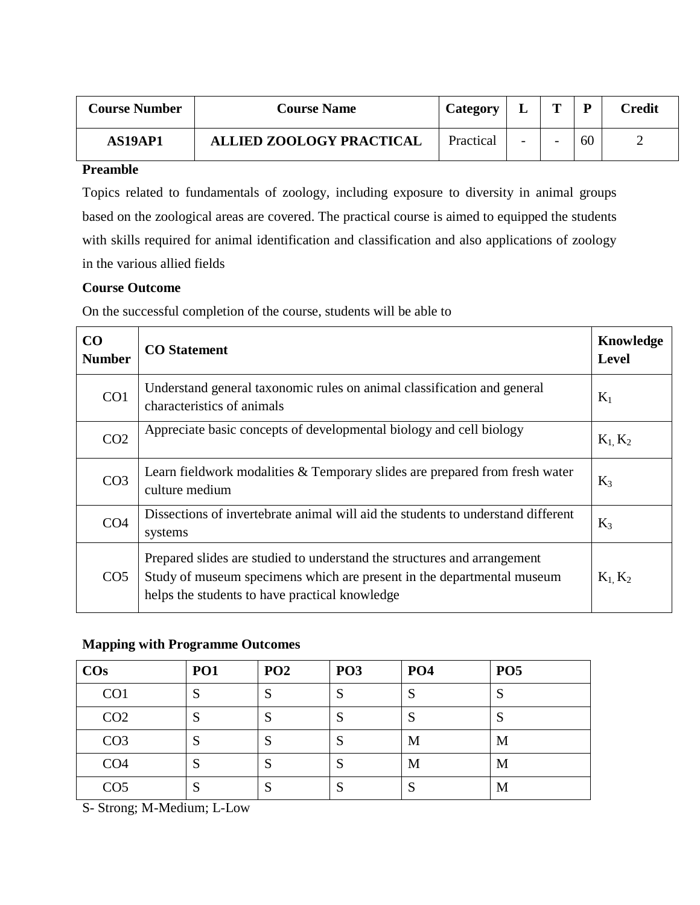| <b>Course Number</b> | <b>Course Name</b>              | Category  | ┻                        | m                        | D  | Credit |
|----------------------|---------------------------------|-----------|--------------------------|--------------------------|----|--------|
| AS19AP1              | <b>ALLIED ZOOLOGY PRACTICAL</b> | Practical | $\overline{\phantom{a}}$ | $\overline{\phantom{0}}$ | 60 |        |

Topics related to fundamentals of zoology, including exposure to diversity in animal groups based on the zoological areas are covered. The practical course is aimed to equipped the students with skills required for animal identification and classification and also applications of zoology in the various allied fields

### **Course Outcome**

On the successful completion of the course, students will be able to

| CO<br><b>Number</b> | <b>CO</b> Statement                                                                                                                                                                                  | Knowledge<br><b>Level</b> |
|---------------------|------------------------------------------------------------------------------------------------------------------------------------------------------------------------------------------------------|---------------------------|
| CO <sub>1</sub>     | Understand general taxonomic rules on animal classification and general<br>characteristics of animals                                                                                                | $K_1$                     |
| CO <sub>2</sub>     | Appreciate basic concepts of developmental biology and cell biology                                                                                                                                  | $K_1, K_2$                |
| CO <sub>3</sub>     | Learn fieldwork modalities & Temporary slides are prepared from fresh water<br>culture medium                                                                                                        | $K_3$                     |
| CO <sub>4</sub>     | Dissections of invertebrate animal will aid the students to understand different<br>systems                                                                                                          | $K_3$                     |
| CO <sub>5</sub>     | Prepared slides are studied to understand the structures and arrangement<br>Study of museum specimens which are present in the departmental museum<br>helps the students to have practical knowledge | $K_1, K_2$                |

### **Mapping with Programme Outcomes**

| $\cos$          | PO <sub>1</sub> | PO <sub>2</sub> | <b>PO3</b> | <b>PO4</b> | PO <sub>5</sub> |
|-----------------|-----------------|-----------------|------------|------------|-----------------|
| CO <sub>1</sub> | S               | ຕ<br>د          | C<br>N     | S          | S               |
| CO <sub>2</sub> | S               | D.              | S          | S          | S               |
| CO <sub>3</sub> | S               | D.              | S          | M          | M               |
| CO <sub>4</sub> | S               | D.              | S          | M          | M               |
| CO <sub>5</sub> | S               | Q<br>D.         | S          | C<br>N     | M               |

S- Strong; M-Medium; L-Low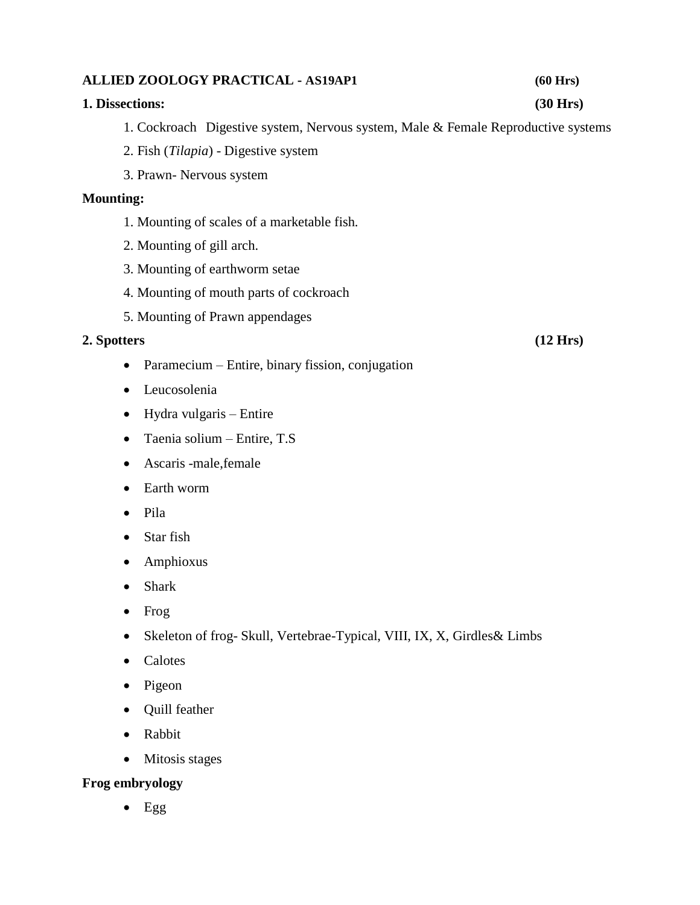# **1. Dissections: (30 Hrs)** 2. Fish (*Tilapia*) - Digestive system 3. Prawn- Nervous system **Mounting:** 1. Mounting of scales of a marketable fish. 2. Mounting of gill arch. 3. Mounting of earthworm setae 4. Mounting of mouth parts of cockroach 5. Mounting of Prawn appendages **2. Spotters (12 Hrs)** • Paramecium – Entire, binary fission, conjugation Leucosolenia Hydra vulgaris – Entire Taenia solium – Entire, T.S

- Ascaris -male,female
- Earth worm
- Pila
- Star fish
- Amphioxus
- Shark
- $\bullet$  Frog
- Skeleton of frog- Skull, Vertebrae-Typical, VIII, IX, X, Girdles & Limbs
- Calotes
- $\bullet$  Pigeon
- Quill feather
- Rabbit
- Mitosis stages

# **Frog embryology**

 $Egg$ 

# **ALLIED ZOOLOGY PRACTICAL - AS19AP1 (60 Hrs)**

1. Cockroach Digestive system, Nervous system, Male & Female Reproductive systems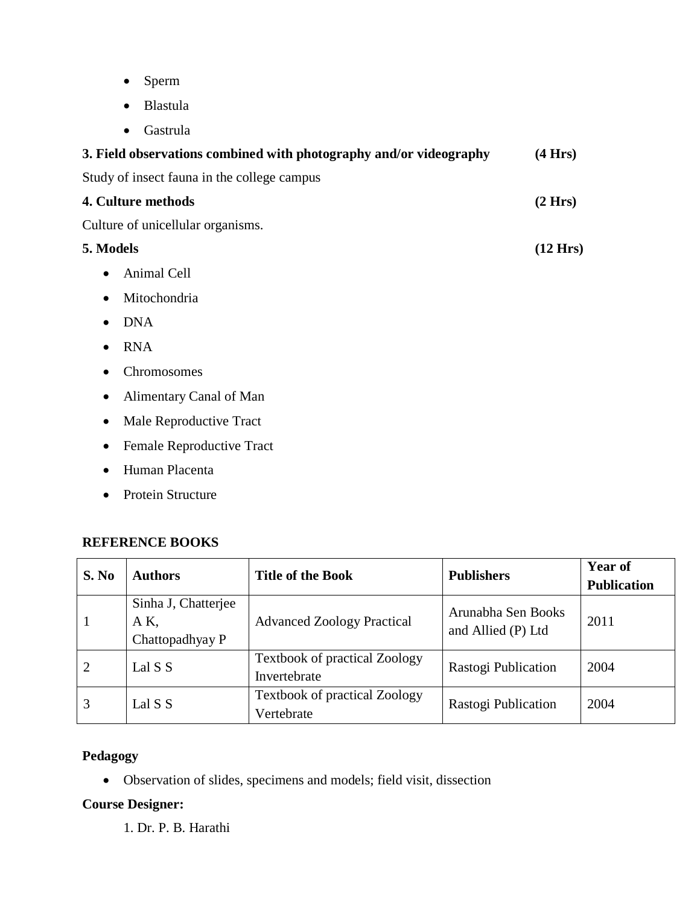- Sperm
- Blastula
- Gastrula

| 3. Field observations combined with photography and/or videography | (4 Hrs) |
|--------------------------------------------------------------------|---------|
| Study of insect fauna in the college campus                        |         |
| 4. Culture methods                                                 | (2 Hrs) |
| Culture of unicellular organisms.                                  |         |
| 5. Models                                                          |         |
| Animal Cell<br>$\bullet$                                           |         |
| Mitochondria<br>$\bullet$                                          |         |
| <b>DNA</b><br>$\bullet$                                            |         |
| <b>RNA</b><br>$\bullet$                                            |         |
| Chromosomes<br>$\bullet$                                           |         |
| Alimentary Canal of Man<br>$\bullet$                               |         |
| Male Reproductive Tract<br>$\bullet$                               |         |
| Female Reproductive Tract                                          |         |

- Human Placenta
- Protein Structure

### **REFERENCE BOOKS**

| S. No | <b>Authors</b>                                | <b>Title of the Book</b>                             | <b>Publishers</b>                        | <b>Year of</b><br><b>Publication</b> |
|-------|-----------------------------------------------|------------------------------------------------------|------------------------------------------|--------------------------------------|
|       | Sinha J, Chatterjee<br>AK,<br>Chattopadhyay P | <b>Advanced Zoology Practical</b>                    | Arunabha Sen Books<br>and Allied (P) Ltd | 2011                                 |
|       | Lal S S                                       | <b>Textbook of practical Zoology</b><br>Invertebrate | Rastogi Publication                      | 2004                                 |
| 3     | Lal S S                                       | <b>Textbook of practical Zoology</b><br>Vertebrate   | Rastogi Publication                      | 2004                                 |

# **Pedagogy**

Observation of slides, specimens and models; field visit, dissection

# **Course Designer:**

1. Dr. P. B. Harathi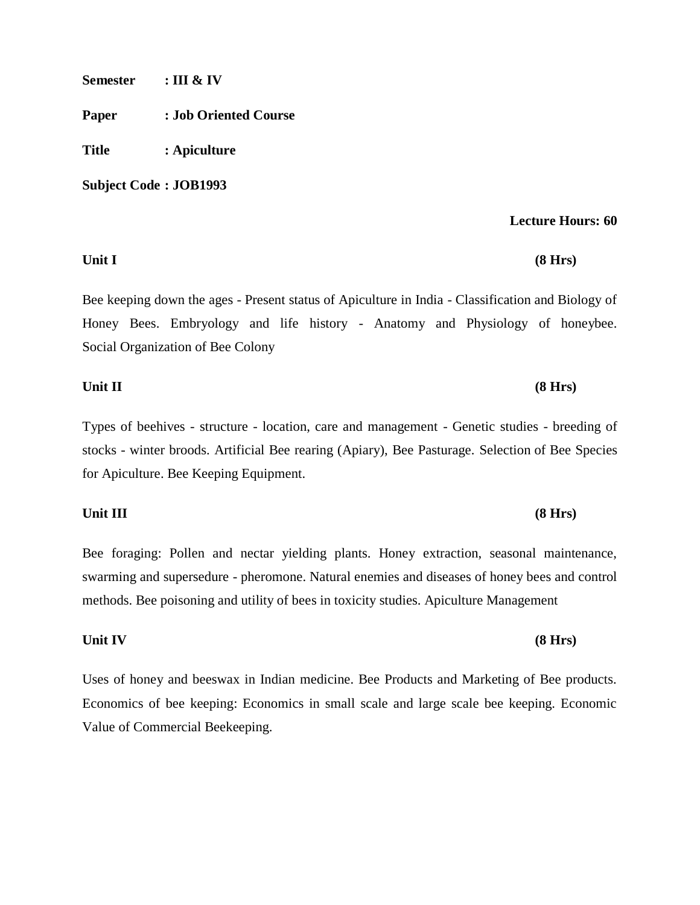**Semester : III & IV**

**Paper : Job Oriented Course**

**Title : Apiculture**

**Subject Code : JOB1993**

#### **Lecture Hours: 60**

#### **Unit I (8 Hrs)**

Bee keeping down the ages - Present status of Apiculture in India - Classification and Biology of Honey Bees. Embryology and life history - Anatomy and Physiology of honeybee. Social Organization of Bee Colony

# **Unit II (8 Hrs)**

Types of beehives - structure - location, care and management - Genetic studies - breeding of stocks - winter broods. Artificial Bee rearing (Apiary), Bee Pasturage. Selection [of Bee Species](http://hozir.org/pelling-bee.html)  [for Apiculture.](http://hozir.org/pelling-bee.html) Bee Keeping Equipment.

#### **Unit III (8 Hrs)**

Bee foraging: Pollen and nectar yielding plants. Honey extraction, seasonal maintenance, swarming and supersedure - pheromone. Natural enemies and diseases of honey bees and control methods. Bee poisoning and utility of bees in toxicity studies. Apiculture Management

#### **Unit IV (8 Hrs)**

Uses of honey and beeswax in Indian medicine. Bee Products and Marketing of Bee products. Economics of bee keeping: Economics in small scale and large scale bee keeping. Economic Value of Commercial Beekeeping.